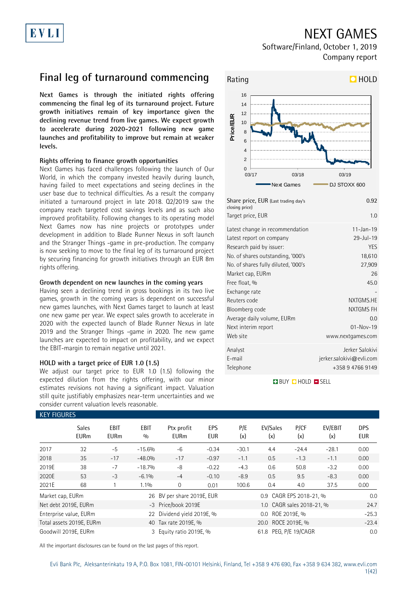## NEXT GAMES

Software/Finland, October 1, 2019 Company report

## **Final leg of turnaround commencing**

**Next Games is through the initiated rights offering commencing the final leg of its turnaround project. Future growth initiatives remain of key importance given the declining revenue trend from live games. We expect growth to accelerate during 2020-2021 following new game launches and profitability to improve but remain at weaker levels.** 

### **Rights offering to finance growth opportunities**

Next Games has faced challenges following the launch of Our World, in which the company invested heavily during launch, having failed to meet expectations and seeing declines in the user base due to technical difficulties. As a result the company initiated a turnaround project in late 2018. Q2/2019 saw the company reach targeted cost savings levels and as such also improved profitability. Following changes to its operating model Next Games now has nine projects or prototypes under development in addition to Blade Runner Nexus in soft launch and the Stranger Things -game in pre-production. The company is now seeking to move to the final leg of its turnaround project by securing financing for growth initiatives through an EUR 8m rights offering.

### **Growth dependent on new launches in the coming years**

Having seen a declining trend in gross bookings in its two live games, growth in the coming years is dependent on successful new games launches, with Next Games target to launch at least one new game per year. We expect sales growth to accelerate in 2020 with the expected launch of Blade Runner Nexus in late 2019 and the Stranger Things -game in 2020. The new game launches are expected to impact on profitability, and we expect the EBIT-margin to remain negative until 2021.

### **HOLD with a target price of EUR 1.0 (1.5)**

We adjust our target price to EUR 1.0 (1.5) following the expected dilution from the rights offering, with our minor estimates revisions not having a significant impact. Valuation still quite justifiably emphasizes near-term uncertainties and we consider current valuation levels reasonable.



| Share price, EUR (Last trading day's<br>closing price)<br>Target price, EUR | 0.92<br>1.0                 |
|-----------------------------------------------------------------------------|-----------------------------|
|                                                                             |                             |
| Latest change in recommendation                                             | $11 - Jan - 19$             |
| Latest report on company                                                    | $29 - Jul - 19$             |
| Research paid by issuer:                                                    | <b>YES</b>                  |
| No. of shares outstanding, '000's                                           | 18,610                      |
| No. of shares fully diluted, '000's                                         | 27,909                      |
| Market cap, EURm                                                            | 26                          |
| Free float, %                                                               | 45.0                        |
| Exchange rate                                                               |                             |
| Reuters code                                                                | NXTGMS.HE                   |
| Bloomberg code                                                              | NXTGMS FH                   |
| Average daily volume, EURm                                                  | 0.0                         |
| Next interim report                                                         | $01 - Nov - 19$             |
| Web site                                                                    | www.nextgames.com           |
| Analyst                                                                     | Jerker Salokivi             |
| E-mail                                                                      | $j$ erker.salokivi@evli.com |
| Telephone                                                                   | +358947669149               |
|                                                                             |                             |

**BUY QHOLD SELL** 

| <b>KEY FIGURES</b> |                             |                            |                    |                            |                   |            |                           |                         |                |                          |  |
|--------------------|-----------------------------|----------------------------|--------------------|----------------------------|-------------------|------------|---------------------------|-------------------------|----------------|--------------------------|--|
|                    | <b>Sales</b><br><b>EURm</b> | <b>EBIT</b><br><b>EURm</b> | <b>EBIT</b><br>0/0 | Ptx profit<br><b>EURm</b>  | EPS<br><b>EUR</b> | P/E<br>(x) | EV/Sales<br>(x)           | P/CF<br>(x)             | EV/EBIT<br>(x) | <b>DPS</b><br><b>EUR</b> |  |
| 2017               | 32                          | $-5$                       | $-15.6%$           | $-6$                       | $-0.34$           | $-30.1$    | 4.4                       | $-24.4$                 | $-28.1$        | 0.00                     |  |
| 2018               | 35                          | $-17$                      | $-48.0%$           | $-17$                      | $-0.97$           | $-1.1$     | 0.5                       | $-1.3$                  | $-1.1$         | 0.00                     |  |
| 2019E              | 38                          | $-7$                       | $-18.7%$           | $-8$                       | $-0.22$           | $-4.3$     | 0.6                       | 50.8                    | $-3.2$         | 0.00                     |  |
| 2020E              | 53                          | $-3$                       | $-6.1%$            | $-4$                       | $-0.10$           | $-8.9$     | 0.5                       | 9.5                     | $-8.3$         | 0.00                     |  |
| 2021E              | 68                          |                            | 1.1%               | $\mathbf{0}$               | 0.01              | 100.6      | 0.4                       | 4.0                     | 37.5           | 0.00                     |  |
| Market cap, EURm   |                             |                            |                    | 26 BV per share 2019E, EUR |                   |            | 0.9 CAGR EPS 2018-21, %   |                         |                |                          |  |
|                    | Net debt 2019E, EURm        |                            |                    | -3 Price/book 2019E        |                   |            | 1.0 CAGR sales 2018-21, % |                         |                |                          |  |
|                    | Enterprise value, EURm      |                            |                    | 22 Dividend yield 2019E, % |                   |            | $0.0\,$                   | ROE 2019E, %<br>$-25.3$ |                |                          |  |
|                    | Total assets 2019E, EURm    |                            |                    | 40 Tax rate 2019E, %       |                   |            | 20.0 ROCE 2019E, %        |                         |                |                          |  |
|                    | Goodwill 2019E, EURm        |                            |                    | 3 Equity ratio 2019E, %    |                   |            | 61.8                      | PEG, P/E 19/CAGR        |                | 0.0                      |  |

All the important disclosures can be found on the last pages of this report.

Evli Bank Plc, Aleksanterinkatu 19 A, P.O. Box 1081, FIN-00101 Helsinki, Finland, Tel +358 9 476 690, Fax +358 9 634 382, [www.evli.com](http://www.evli.com/)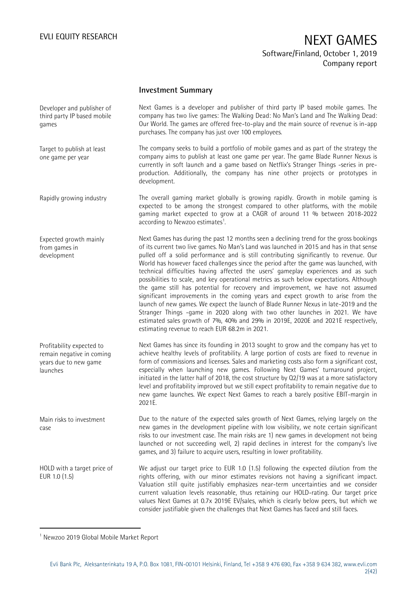### **Investment Summary**

Next Games is a developer and publisher of third party IP based mobile games. The company has two live games: The Walking Dead: No Man's Land and The Walking Dead: Our World. The games are offered free-to-play and the main source of revenue is in-app purchases. The company has just over 100 employees. The company seeks to build a portfolio of mobile games and as part of the strategy the company aims to publish at least one game per year. The game Blade Runner Nexus is currently in soft launch and a game based on Netflix's Stranger Things -series in preproduction. Additionally, the company has nine other projects or prototypes in development. The overall gaming market globally is growing rapidly. Growth in mobile gaming is expected to be among the strongest compared to other platforms, with the mobile gaming market expected to grow at a CAGR of around 11 % between 2018-2022 according to Newzoo estimates<sup>1</sup>. Next Games has during the past 12 months seen a declining trend for the gross bookings of its current two live games. No Man's Land was launched in 2015 and has in that sense pulled off a solid performance and is still contributing significantly to revenue. Our World has however faced challenges since the period after the game was launched, with technical difficulties having affected the users' gameplay experiences and as such possibilities to scale, and key operational metrics as such below expectations. Although the game still has potential for recovery and improvement, we have not assumed significant improvements in the coming years and expect growth to arise from the launch of new games. We expect the launch of Blade Runner Nexus in late-2019 and the Stranger Things -game in 2020 along with two other launches in 2021. We have estimated sales growth of 7%, 40% and 29% in 2019E, 2020E and 2021E respectively, estimating revenue to reach EUR 68.2m in 2021. Next Games has since its founding in 2013 sought to grow and the company has yet to achieve healthy levels of profitability. A large portion of costs are fixed to revenue in form of commissions and licenses. Sales and marketing costs also form a significant cost, especially when launching new games. Following Next Games' turnaround project, initiated in the latter half of 2018, the cost structure by Q2/19 was at a more satisfactory level and profitability improved but we still expect profitability to remain negative due to new game launches. We expect Next Games to reach a barely positive EBIT-margin in 2021E. Due to the nature of the expected sales growth of Next Games, relying largely on the new games in the development pipeline with low visibility, we note certain significant risks to our investment case. The main risks are 1) new games in development not being launched or not succeeding well, 2) rapid declines in interest for the company's live games, and 3) failure to acquire users, resulting in lower profitability. We adjust our target price to EUR 1.0 (1.5) following the expected dilution from the rights offering, with our minor estimates revisions not having a significant impact. Valuation still quite justifiably emphasizes near-term uncertainties and we consider current valuation levels reasonable, thus retaining our HOLD-rating. Our target price values Next Games at 0.7x 2019E EV/sales, which is clearly below peers, but which we consider justifiable given the challenges that Next Games has faced and still faces. Developer and publisher of third party IP based mobile games Target to publish at least one game per year Rapidly growing industry Expected growth mainly from games in development Profitability expected to remain negative in coming years due to new game launches Main risks to investment case HOLD with a target price of EUR 1.0 (1.5)

1

<sup>1</sup> Newzoo 2019 Global Mobile Market Report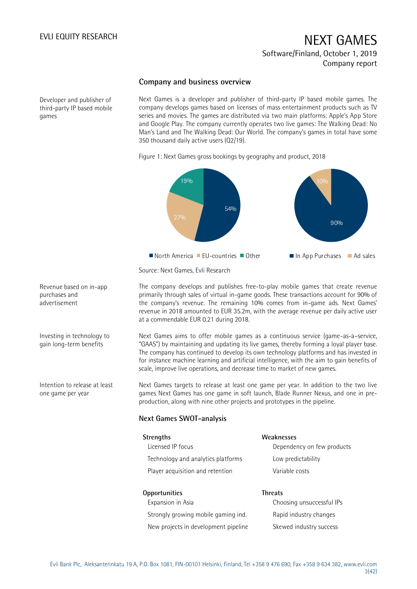### **Company and business overview**

Developer and publisher of third-party IP based mobile games

Next Games is a developer and publisher of third-party IP based mobile games. The company develops games based on licenses of mass entertainment products such as TV series and movies. The games are distributed via two main platforms: Apple's App Store and Google Play. The company currently operates two live games: The Walking Dead: No Man's Land and The Walking Dead: Our World. The company's games in total have some 350 thousand daily active users (Q2/19).

Figure 1: Next Games gross bookings by geography and product, 2018



Source: Next Games, Evli Research

The company develops and publishes free-to-play mobile games that create revenue primarily through sales of virtual in-game goods. These transactions account for 90% of the company's revenue. The remaining 10% comes from in-game ads. Next Games' revenue in 2018 amounted to EUR 35.2m, with the average revenue per daily active user at a commendable EUR 0.21 during 2018.

Next Games aims to offer mobile games as a continuous service (game-as-a–service, "GAAS") by maintaining and updating its live games, thereby forming a loyal player base. The company has continued to develop its own technology platforms and has invested in for instance machine learning and artificial intelligence, with the aim to gain benefits of scale, improve live operations, and decrease time to market of new games.

Next Games targets to release at least one game per year. In addition to the two live games Next Games has one game in soft launch, Blade Runner Nexus, and one in preproduction, along with nine other projects and prototypes in the pipeline.

### **Next Games SWOT-analysis**

| <b>Strengths</b>                    | Weaknesses                 |
|-------------------------------------|----------------------------|
| Licensed IP focus                   | Dependency on few products |
| Technology and analytics platforms  | Low predictability         |
| Player acquisition and retention    | Variable costs             |
| <b>Opportunities</b>                | <b>Threats</b>             |
| Expansion in Asia                   | Choosing unsuccessful IPs  |
| Strongly growing mobile gaming ind. | Rapid industry changes     |

Skewed industry success

Strongly growing mobile gaming ind. New projects in development pipeline

Revenue based on in-app purchases and advertisement

Investing in technology to gain long-term benefits

Intention to release at least one game per year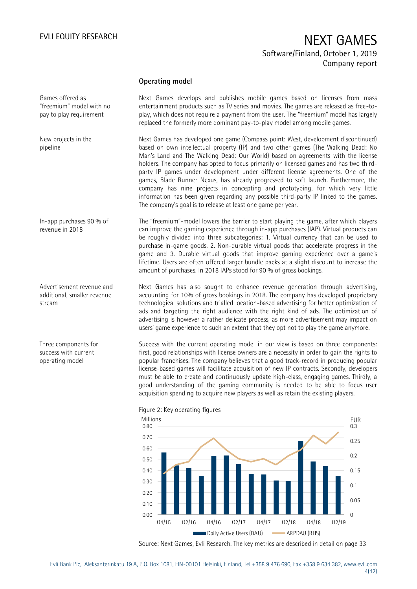### **Operating model**

Games offered as "freemium" model with no pay to play requirement

New projects in the pipeline

In-app purchases 90 % of revenue in 2018

Advertisement revenue and additional, smaller revenue stream

Three components for success with current operating model

Next Games develops and publishes mobile games based on licenses from mass entertainment products such as TV series and movies. The games are released as free-toplay, which does not require a payment from the user. The "freemium" model has largely replaced the formerly more dominant pay-to-play model among mobile games.

Next Games has developed one game (Compass point: West, development discontinued) based on own intellectual property (IP) and two other games (The Walking Dead: No Man's Land and The Walking Dead: Our World) based on agreements with the license holders. The company has opted to focus primarily on licensed games and has two thirdparty IP games under development under different license agreements. One of the games, Blade Runner Nexus, has already progressed to soft launch. Furthermore, the company has nine projects in concepting and prototyping, for which very little information has been given regarding any possible third-party IP linked to the games. The company's goal is to release at least one game per year.

The "freemium"-model lowers the barrier to start playing the game, after which players can improve the gaming experience through in-app purchases (IAP). Virtual products can be roughly divided into three subcategories: 1. Virtual currency that can be used to purchase in-game goods. 2. Non-durable virtual goods that accelerate progress in the game and 3. Durable virtual goods that improve gaming experience over a game's lifetime. Users are often offered larger bundle packs at a slight discount to increase the amount of purchases. In 2018 IAPs stood for 90 % of gross bookings.

Next Games has also sought to enhance revenue generation through advertising, accounting for 10% of gross bookings in 2018. The company has developed proprietary technological solutions and trialled location-based advertising for better optimization of ads and targeting the right audience with the right kind of ads. The optimization of advertising is however a rather delicate process, as more advertisement may impact on users' game experience to such an extent that they opt not to play the game anymore.

Success with the current operating model in our view is based on three components: first, good relationships with license owners are a necessity in order to gain the rights to popular franchises. The company believes that a good track-record in producing popular license-based games will facilitate acquisition of new IP contracts. Secondly, developers must be able to create and continuously update high-class, engaging games. Thirdly, a good understanding of the gaming community is needed to be able to focus user acquisition spending to acquire new players as well as retain the existing players.



Figure 2: Key operating figures

Source: Next Games, Evli Research. The key metrics are described in detail on page 33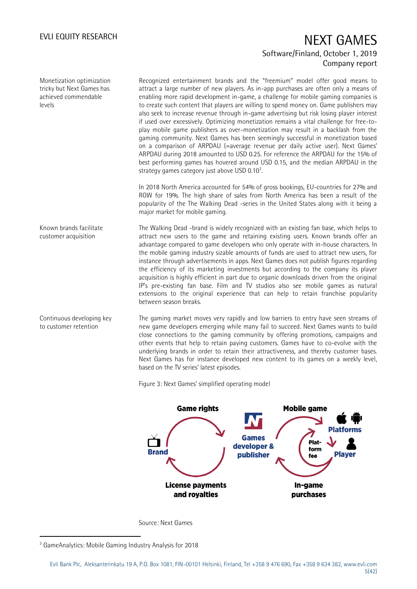Monetization optimization tricky but Next Games has achieved commendable levels

Recognized entertainment brands and the "freemium" model offer good means to attract a large number of new players. As in-app purchases are often only a means of enabling more rapid development in-game, a challenge for mobile gaming companies is to create such content that players are willing to spend money on. Game publishers may also seek to increase revenue through in-game advertising but risk losing player interest if used over excessively. Optimizing monetization remains a vital challenge for free-toplay mobile game publishers as over-monetization may result in a backlash from the gaming community. Next Games has been seemingly successful in monetization based on a comparison of ARPDAU (=average revenue per daily active user). Next Games' ARPDAU during 2018 amounted to USD 0.25. For reference the ARPDAU for the 15% of best performing games has hovered around USD 0.15, and the median ARPDAU in the strategy games category just above USD 0.10 $^2$ . .

In 2018 North America accounted for 54% of gross bookings, EU-countries for 27% and ROW for 19%. The high share of sales from North America has been a result of the popularity of the The Walking Dead -series in the United States along with it being a major market for mobile gaming.

The Walking Dead -brand is widely recognized with an existing fan base, which helps to attract new users to the game and retaining existing users. Known brands offer an advantage compared to game developers who only operate with in-house characters. In the mobile gaming industry sizable amounts of funds are used to attract new users, for instance through advertisements in apps. Next Games does not publish figures regarding the efficiency of its marketing investments but according to the company its player acquisition is highly efficient in part due to organic downloads driven from the original IP's pre-existing fan base. Film and TV studios also see mobile games as natural extensions to the original experience that can help to retain franchise popularity between season breaks. Known brands facilitate customer acquisition

The gaming market moves very rapidly and low barriers to entry have seen streams of new game developers emerging while many fail to succeed. Next Games wants to build close connections to the gaming community by offering promotions, campaigns and other events that help to retain paying customers. Games have to co-evolve with the underlying brands in order to retain their attractiveness, and thereby customer bases. Next Games has for instance developed new content to its games on a weekly level, based on the TV series' latest episodes. Continuous developing key to customer retention

Figure 3: Next Games' simplified operating model



Source: Next Games

-

<sup>2</sup> GameAnalytics: Mobile Gaming Industry Analysis for 2018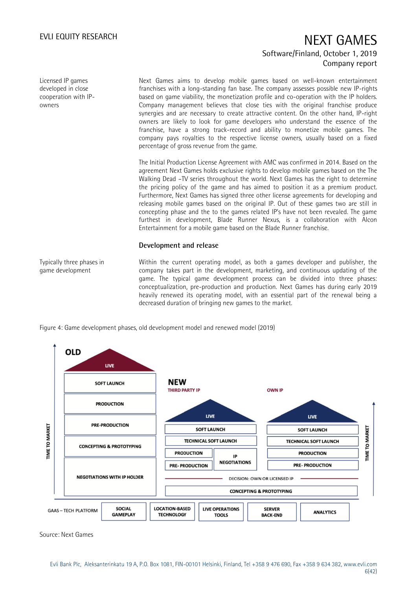Licensed IP games developed in close cooperation with IPowners

Typically three phases in game development

Next Games aims to develop mobile games based on well-known entertainment franchises with a long-standing fan base. The company assesses possible new IP-rights based on game viability, the monetization profile and co-operation with the IP holders. Company management believes that close ties with the original franchise produce synergies and are necessary to create attractive content. On the other hand, IP-right owners are likely to look for game developers who understand the essence of the franchise, have a strong track-record and ability to monetize mobile games. The company pays royalties to the respective license owners, usually based on a fixed percentage of gross revenue from the game.

The Initial Production License Agreement with AMC was confirmed in 2014. Based on the agreement Next Games holds exclusive rights to develop mobile games based on the The Walking Dead -TV series throughout the world. Next Games has the right to determine the pricing policy of the game and has aimed to position it as a premium product. Furthermore, Next Games has signed three other license agreements for developing and releasing mobile games based on the original IP. Out of these games two are still in concepting phase and the to the games related IP's have not been revealed. The game furthest in development, Blade Runner Nexus, is a collaboration with Alcon Entertainment for a mobile game based on the Blade Runner franchise.

### **Development and release**

Within the current operating model, as both a games developer and publisher, the company takes part in the development, marketing, and continuous updating of the game. The typical game development process can be divided into three phases: conceptualization, pre-production and production. Next Games has during early 2019 heavily renewed its operating model, with an essential part of the renewal being a decreased duration of bringing new games to the market.



Figure 4: Game development phases, old development model and renewed model (2019)

Source: Next Games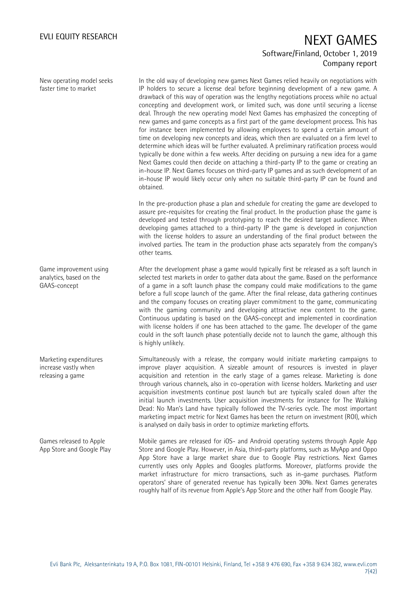New operating model seeks faster time to market

In the old way of developing new games Next Games relied heavily on negotiations with IP holders to secure a license deal before beginning development of a new game. A drawback of this way of operation was the lengthy negotiations process while no actual concepting and development work, or limited such, was done until securing a license deal. Through the new operating model Next Games has emphasized the concepting of new games and game concepts as a first part of the game development process. This has for instance been implemented by allowing employees to spend a certain amount of time on developing new concepts and ideas, which then are evaluated on a firm level to determine which ideas will be further evaluated. A preliminary ratification process would typically be done within a few weeks. After deciding on pursuing a new idea for a game Next Games could then decide on attaching a third-party IP to the game or creating an in-house IP. Next Games focuses on third-party IP games and as such development of an in-house IP would likely occur only when no suitable third-party IP can be found and obtained.

In the pre-production phase a plan and schedule for creating the game are developed to assure pre-requisites for creating the final product. In the production phase the game is developed and tested through prototyping to reach the desired target audience. When developing games attached to a third-party IP the game is developed in conjunction with the license holders to assure an understanding of the final product between the involved parties. The team in the production phase acts separately from the company's other teams.

After the development phase a game would typically first be released as a soft launch in selected test markets in order to gather data about the game. Based on the performance of a game in a soft launch phase the company could make modifications to the game before a full scope launch of the game. After the final release, data gathering continues and the company focuses on creating player commitment to the game, communicating with the gaming community and developing attractive new content to the game. Continuous updating is based on the GAAS-concept and implemented in coordination with license holders if one has been attached to the game. The developer of the game could in the soft launch phase potentially decide not to launch the game, although this is highly unlikely.

Simultaneously with a release, the company would initiate marketing campaigns to improve player acquisition. A sizeable amount of resources is invested in player acquisition and retention in the early stage of a games release. Marketing is done through various channels, also in co-operation with license holders. Marketing and user acquisition investments continue post launch but are typically scaled down after the initial launch investments. User acquisition investments for instance for The Walking Dead: No Man's Land have typically followed the TV-series cycle. The most important marketing impact metric for Next Games has been the return on investment (ROI), which is analysed on daily basis in order to optimize marketing efforts.

Mobile games are released for iOS- and Android operating systems through Apple App Store and Google Play. However, in Asia, third-party platforms, such as MyApp and Oppo App Store have a large market share due to Google Play restrictions. Next Games currently uses only Apples and Googles platforms. Moreover, platforms provide the market infrastructure for micro transactions, such as in-game purchases. Platform operators' share of generated revenue has typically been 30%. Next Games generates roughly half of its revenue from Apple's App Store and the other half from Google Play. Games released to Apple App Store and Google Play

Game improvement using analytics, based on the GAAS-concept

Marketing expenditures increase vastly when releasing a game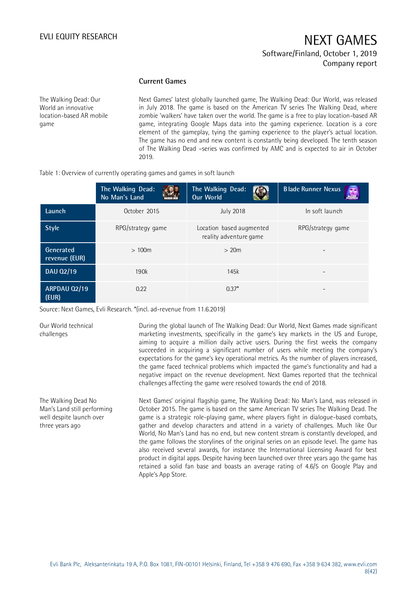### **Current Games**

The Walking Dead: Our World an innovative location-based AR mobile game

Next Games' latest globally launched game, The Walking Dead: Our World, was released in July 2018. The game is based on the American TV series The Walking Dead, where zombie 'walkers' have taken over the world. The game is a free to play location-based AR game, integrating Google Maps data into the gaming experience. Location is a core element of the gameplay, tying the gaming experience to the player's actual location. The game has no end and new content is constantly being developed. The tenth season of The Walking Dead –series was confirmed by AMC and is expected to air in October 2019.

|                              | 2019.                                                                   |                                                    |                           |  |  |
|------------------------------|-------------------------------------------------------------------------|----------------------------------------------------|---------------------------|--|--|
|                              | Table 1: Overview of currently operating games and games in soft launch |                                                    |                           |  |  |
|                              | The Walking Dead:<br>No Man's Land                                      | The Walking Dead:<br><b>Our World</b>              | <b>Blade Runner Nexus</b> |  |  |
| Launch                       | October 2015                                                            | <b>July 2018</b>                                   | In soft launch            |  |  |
| <b>Style</b>                 | RPG/strategy game                                                       | Location based augmented<br>reality adventure game | RPG/strategy game         |  |  |
| Generated<br>revenue (EUR)   | >100m                                                                   | >20m                                               |                           |  |  |
| DAU 02/19                    | 190k                                                                    | 145k                                               |                           |  |  |
| <b>ARPDAU 02/19</b><br>(EUR) | 0.22                                                                    | $0.37*$                                            |                           |  |  |

Source: Next Games, Evli Research. \*(incl. ad-revenue from 11.6.2019)

Our World technical challenges

three years ago

the game faced technical problems which impacted the game's functionality and had a negative impact on the revenue development. Next Games reported that the technical challenges affecting the game were resolved towards the end of 2018. The Walking Dead No Man's Land still performing well despite launch over

Next Games' original flagship game, The Walking Dead: No Man's Land, was released in October 2015. The game is based on the same American TV series The Walking Dead. The game is a strategic role-playing game, where players fight in dialogue-based combats, gather and develop characters and attend in a variety of challenges. Much like Our World, No Man's Land has no end, but new content stream is constantly developed, and the game follows the storylines of the original series on an episode level. The game has also received several awards, for instance the International Licensing Award for best product in digital apps. Despite having been launched over three years ago the game has retained a solid fan base and boasts an average rating of 4.6/5 on Google Play and Apple's App Store.

During the global launch of The Walking Dead: Our World, Next Games made significant marketing investments, specifically in the game's key markets in the US and Europe, aiming to acquire a million daily active users. During the first weeks the company succeeded in acquiring a significant number of users while meeting the company's expectations for the game's key operational metrics. As the number of players increased,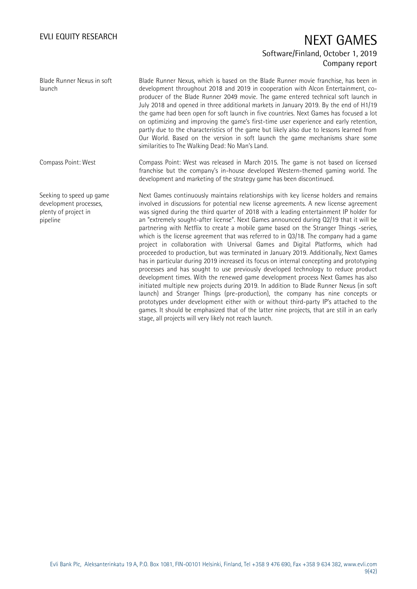Blade Runner Nexus in soft launch

Compass Point: West

pipeline

Seeking to speed up game development processes, plenty of project in

Blade Runner Nexus, which is based on the Blade Runner movie franchise, has been in development throughout 2018 and 2019 in cooperation with Alcon Entertainment, coproducer of the Blade Runner 2049 movie. The game entered technical soft launch in July 2018 and opened in three additional markets in January 2019. By the end of H1/19 the game had been open for soft launch in five countries. Next Games has focused a lot on optimizing and improving the game's first-time user experience and early retention, partly due to the characteristics of the game but likely also due to lessons learned from Our World. Based on the version in soft launch the game mechanisms share some similarities to The Walking Dead: No Man's Land.

Compass Point: West was released in March 2015. The game is not based on licensed franchise but the company's in-house developed Western-themed gaming world. The development and marketing of the strategy game has been discontinued.

Next Games continuously maintains relationships with key license holders and remains involved in discussions for potential new license agreements. A new license agreement was signed during the third quarter of 2018 with a leading entertainment IP holder for an "extremely sought-after license". Next Games announced during Q2/19 that it will be partnering with Netflix to create a mobile game based on the Stranger Things -series, which is the license agreement that was referred to in Q3/18. The company had a game project in collaboration with Universal Games and Digital Platforms, which had proceeded to production, but was terminated in January 2019. Additionally, Next Games has in particular during 2019 increased its focus on internal concepting and prototyping processes and has sought to use previously developed technology to reduce product development times. With the renewed game development process Next Games has also initiated multiple new projects during 2019. In addition to Blade Runner Nexus (in soft launch) and Stranger Things (pre-production), the company has nine concepts or prototypes under development either with or without third-party IP's attached to the games. It should be emphasized that of the latter nine projects, that are still in an early stage, all projects will very likely not reach launch.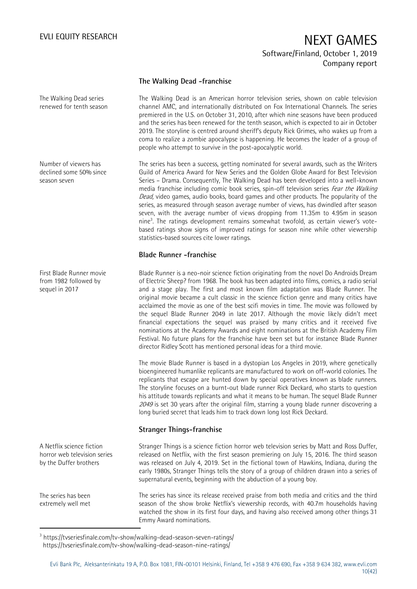### **The Walking Dead -franchise**

The Walking Dead series renewed for tenth season

Number of viewers has declined some 50% since season seven

First Blade Runner movie from 1982 followed by sequel in 2017

The Walking Dead is an American horror television series, shown on cable television channel AMC, and internationally distributed on Fox International Channels. The series premiered in the U.S. on October 31, 2010, after which nine seasons have been produced and the series has been renewed for the tenth season, which is expected to air in October 2019. The storyline is centred around sheriff's deputy Rick Grimes, who wakes up from a coma to realize a zombie apocalypse is happening. He becomes the leader of a group of people who attempt to survive in the post-apocalyptic world.

The series has been a success, getting nominated for several awards, such as the Writers Guild of America Award for New Series and the Golden Globe Award for Best Television Series – Drama. Consequently, The Walking Dead has been developed into a well-known media franchise including comic book series, spin-off television series Fear the Walking Dead, video games, audio books, board games and other products. The popularity of the series, as measured through season average number of views, has dwindled after season seven, with the average number of views dropping from 11.35m to 4.95m in season nine<sup>3</sup>. The ratings development remains somewhat twofold, as certain viewer's votebased ratings show signs of improved ratings for season nine while other viewership statistics-based sources cite lower ratings.

### **Blade Runner -franchise**

Blade Runner is a neo-noir science fiction originating from the novel Do Androids Dream of Electric Sheep? from 1968. The book has been adapted into films, comics, a radio serial and a stage play. The first and most known film adaptation was Blade Runner. The original movie became a cult classic in the science fiction genre and many critics have acclaimed the movie as one of the best scifi movies in time. The movie was followed by the sequel Blade Runner 2049 in late 2017. Although the movie likely didn't meet financial expectations the sequel was praised by many critics and it received five nominations at the Academy Awards and eight nominations at the British Academy Film Festival. No future plans for the franchise have been set but for instance Blade Runner director Ridley Scott has mentioned personal ideas for a third movie.

The movie Blade Runner is based in a dystopian Los Angeles in 2019, where genetically bioengineered humanlike replicants are manufactured to work on off-world colonies. The replicants that escape are hunted down by special operatives known as blade runners. The storyline focuses on a burnt-out blade runner Rick Deckard, who starts to question his attitude towards replicants and what it means to be human. The sequel Blade Runner <sup>2049</sup> is set 30 years after the original film, starring a young blade runner discovering a long buried secret that leads him to track down long lost Rick Deckard.

### **Stranger Things-franchise**

Stranger Things is a science fiction horror web television series by Matt and Ross Duffer, released on Netflix, with the first season premiering on July 15, 2016. The third season was released on July 4, 2019. Set in the fictional town of Hawkins, Indiana, during the early 1980s, Stranger Things tells the story of a group of children drawn into a series of supernatural events, beginning with the abduction of a young boy.

The series has since its release received praise from both media and critics and the third season of the show broke Netflix's viewership records, with 40.7m households having watched the show in its first four days, and having also received among other things 31 Emmy Award nominations.

A Netflix science fiction horror web television series by the Duffer brothers

The series has been extremely well met

1

<sup>3</sup> https://tvseriesfinale.com/tv-show/walking-dead-season-seven-ratings/ https://tvseriesfinale.com/tv-show/walking-dead-season-nine-ratings/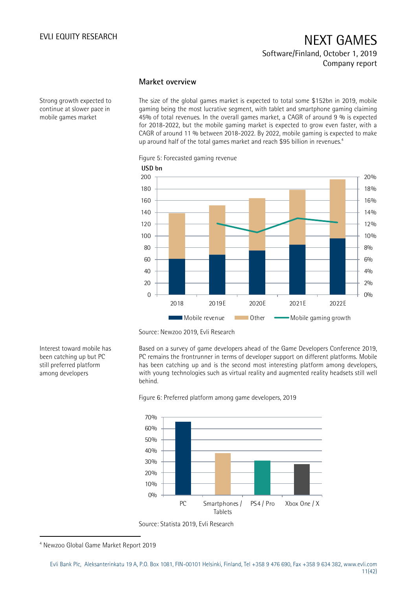### **Market overview**

Strong growth expected to continue at slower pace in mobile games market

The size of the global games market is expected to total some \$152bn in 2019, mobile gaming being the most lucrative segment, with tablet and smartphone gaming claiming 45% of total revenues. In the overall games market, a CAGR of around 9 % is expected for 2018-2022, but the mobile gaming market is expected to grow even faster, with a CAGR of around 11 % between 2018-2022. By 2022, mobile gaming is expected to make up around half of the total games market and reach \$95 billion in revenues.<sup>4</sup>

Figure 5: Forecasted gaming revenue



Source: Newzoo 2019, Evli Research

Based on a survey of game developers ahead of the Game Developers Conference 2019, PC remains the frontrunner in terms of developer support on different platforms. Mobile has been catching up and is the second most interesting platform among developers, with young technologies such as virtual reality and augmented reality headsets still well behind.





Source: Statista 2019, Evli Research

-

Interest toward mobile has been catching up but PC still preferred platform among developers

<sup>4</sup> Newzoo Global Game Market Report 2019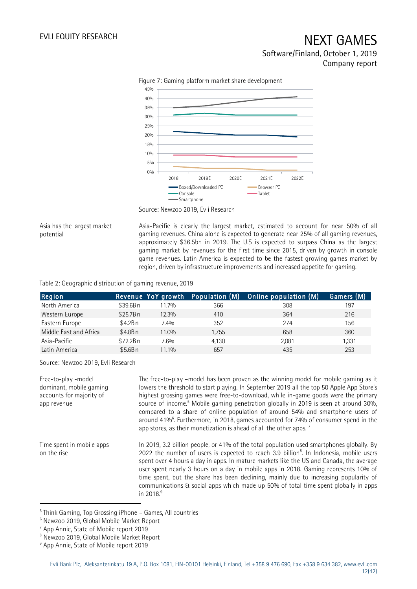

Figure 7: Gaming platform market share development

Asia has the largest market potential

Asia-Pacific is clearly the largest market, estimated to account for near 50% of all gaming revenues. China alone is expected to generate near 25% of all gaming revenues, approximately \$36.5bn in 2019. The U.S is expected to surpass China as the largest gaming market by revenues for the first time since 2015, driven by growth in console game revenues. Latin America is expected to be the fastest growing games market by region, driven by infrastructure improvements and increased appetite for gaming.

### Table 2: Geographic distribution of gaming revenue, 2019

| Region                 |          |       |       | Revenue YoY growth Population (M) Online population (M) | Gamers (M) <sup>1</sup> |
|------------------------|----------|-------|-------|---------------------------------------------------------|-------------------------|
| North America          | \$39.6Bn | 11.7% | 366   | 308                                                     | 197                     |
| Western Europe         | \$25.7Bn | 12.3% | 410   | 364                                                     | 216                     |
| Eastern Europe         | \$4.2Bn  | 7.4%  | 352   | 274                                                     | 156                     |
| Middle East and Africa | \$4.8Bn  | 11.0% | 1,755 | 658                                                     | 360                     |
| Asia-Pacific           | \$72.2Bn | 7.6%  | 4.130 | 2.081                                                   | 1,331                   |
| Latin America          | \$5.6Bn  | 11.1% | 657   | 435                                                     | 253                     |

Source: Newzoo 2019, Evli Research

The free-to-play –model has been proven as the winning model for mobile gaming as it lowers the threshold to start playing. In September 2019 all the top 50 Apple App Store's highest grossing games were free-to-download, while in-game goods were the primary source of income.<sup>5</sup> Mobile gaming penetration globally in 2019 is seen at around 30%, compared to a share of online population of around 54% and smartphone users of around 41%<sup>6</sup>. Furthermore, in 2018, games accounted for 74% of consumer spend in the app stores, as their monetization is ahead of all the other apps.  $\frac{7}{2}$ In 2019, 3.2 billion people, or 41% of the total population used smartphones globally. By 2022 the number of users is expected to reach 3.9 billion $<sup>8</sup>$ . In Indonesia, mobile users</sup> spent over 4 hours a day in apps. In mature markets like the US and Canada, the average user spent nearly 3 hours on a day in mobile apps in 2018. Gaming represents 10% of time spent, but the share has been declining, mainly due to increasing popularity of communications & social apps which made up 50% of total time spent globally in apps in 2018. $9$ Free-to-play -model dominant, mobile gaming accounts for majority of app revenue Time spent in mobile apps on the rise

-

Source: Newzoo 2019, Evli Research

<sup>&</sup>lt;sup>5</sup> Think Gaming, Top Grossing iPhone - Games, All countries

<sup>6</sup> Newzoo 2019, Global Mobile Market Report

<sup>7</sup> App Annie, State of Mobile report 2019

<sup>8</sup> Newzoo 2019, Global Mobile Market Report

<sup>&</sup>lt;sup>9</sup> App Annie, State of Mobile report 2019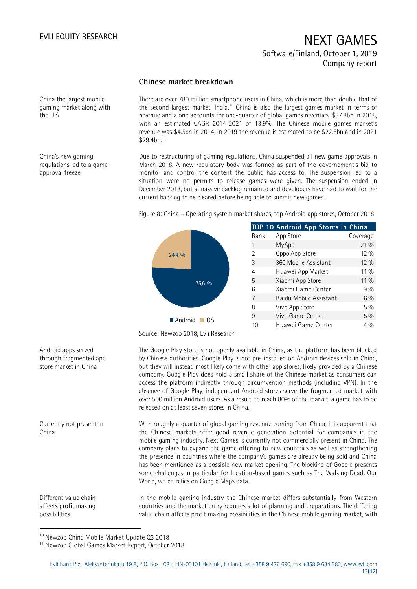### **Chinese market breakdown**

China the largest mobile gaming market along with the U.S.

China's new gaming regulations led to a game approval freeze

There are over 780 million smartphone users in China, which is more than double that of the second largest market, India.<sup>10</sup> China is also the largest games market in terms of revenue and alone accounts for one-quarter of global games revenues, \$37.8bn in 2018, with an estimated CAGR 2014-2021 of 13.9%. The Chinese mobile games market's revenue was \$4.5bn in 2014, in 2019 the revenue is estimated to be \$22.6bn and in 2021  $$29.4$ bn. $^{11}$ 

Due to restructuring of gaming regulations, China suspended all new game approvals in March 2018. A new regulatory body was formed as part of the governement's bid to monitor and control the content the public has access to. The suspension led to a situation were no permits to release games were given. The suspension ended in December 2018, but a massive backlog remained and developers have had to wait for the current backlog to be cleared before being able to submit new games.

Figure 8: China – Operating system market shares, top Android app stores, October 2018



Source: Newzoo 2018, Evli Research

The Google Play store is not openly available in China, as the platform has been blocked by Chinese authorities. Google Play is not pre-installed on Android devices sold in China, but they will instead most likely come with other app stores, likely provided by a Chinese company. Google Play does hold a small share of the Chinese market as consumers can access the platform indirectly through circumvention methods (including VPN). In the absence of Google Play, independent Android stores serve the fragmented market with over 500 million Android users. As a result, to reach 80% of the market, a game has to be released on at least seven stores in China.

With roughly a quarter of global gaming revenue coming from China, it is apparent that the Chinese markets offer good revenue generation potential for companies in the mobile gaming industry. Next Games is currently not commercially present in China. The company plans to expand the game offering to new countries as well as strengthening the presence in countries where the company's games are already being sold and China has been mentioned as a possible new market opening. The blocking of Google presents some challenges in particular for location-based games such as The Walking Dead: Our World, which relies on Google Maps data. Currently not present in

> In the mobile gaming industry the Chinese market differs substantially from Western countries and the market entry requires a lot of planning and preparations. The differing value chain affects profit making possibilities in the Chinese mobile gaming market, with

<sup>10</sup> Newzoo China Mobile Market Update Q3 2018

Android apps served through fragmented app store market in China

China

Different value chain affects profit making possibilities

1

<sup>&</sup>lt;sup>11</sup> Newzoo Global Games Market Report, October 2018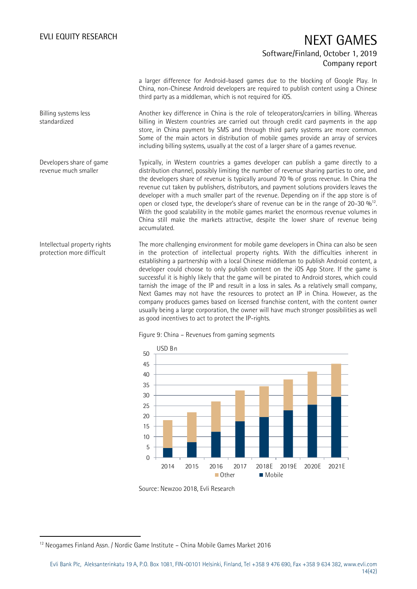a larger difference for Android-based games due to the blocking of Google Play. In China, non-Chinese Android developers are required to publish content using a Chinese third party as a middleman, which is not required for iOS.

Another key difference in China is the role of teleoperators/carriers in billing. Whereas billing in Western countries are carried out through credit card payments in the app store, in China payment by SMS and through third party systems are more common. Some of the main actors in distribution of mobile games provide an array of services including billing systems, usually at the cost of a larger share of a games revenue. Billing systems less standardized

Typically, in Western countries a games developer can publish a game directly to a distribution channel, possibly limiting the number of revenue sharing parties to one, and the developers share of revenue is typically around 70 % of gross revenue. In China the revenue cut taken by publishers, distributors, and payment solutions providers leaves the developer with a much smaller part of the revenue. Depending on if the app store is of open or closed type, the developer's share of revenue can be in the range of 20-30  $\%$ <sup>12</sup>. With the good scalability in the mobile games market the enormous revenue volumes in China still make the markets attractive, despite the lower share of revenue being accumulated. Developers share of game revenue much smaller

The more challenging environment for mobile game developers in China can also be seen in the protection of intellectual property rights. With the difficulties inherent in establishing a partnership with a local Chinese middleman to publish Android content, a developer could choose to only publish content on the iOS App Store. If the game is successful it is highly likely that the game will be pirated to Android stores, which could tarnish the image of the IP and result in a loss in sales. As a relatively small company, Next Games may not have the resources to protect an IP in China. However, as the company produces games based on licensed franchise content, with the content owner usually being a large corporation, the owner will have much stronger possibilities as well as good incentives to act to protect the IP-rights. Intellectual property rights protection more difficult





Source: Newzoo 2018, Evli Research

-

<sup>&</sup>lt;sup>12</sup> Neogames Finland Assn. / Nordic Game Institute - China Mobile Games Market 2016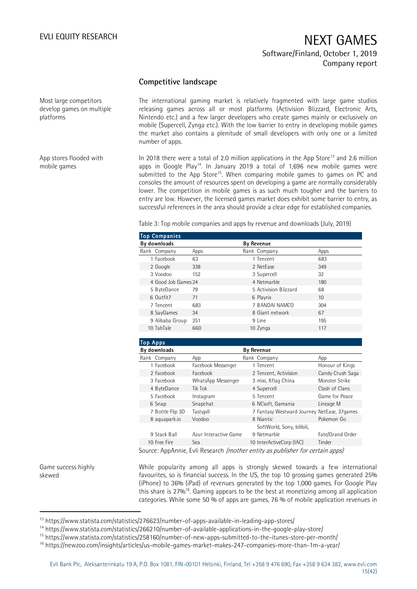### **Competitive landscape**

Most large competitors develop games on multiple platforms

App stores flooded with

mobile games

The international gaming market is relatively fragmented with large game studios releasing games across all or most platforms (Activision Blizzard, Electronic Arts, Nintendo etc.) and a few larger developers who create games mainly or exclusively on mobile (Supercell, Zynga etc.). With the low barrier to entry in developing mobile games the market also contains a plenitude of small developers with only one or a limited number of apps.

In 2018 there were a total of 2.0 million applications in the App Store<sup>13</sup> and 2.6 million apps in Google Play<sup>14</sup>. In January 2019 a total of 1,696 new mobile games were submitted to the App Store<sup>15</sup>. When comparing mobile games to games on PC and consoles the amount of resources spent on developing a game are normally considerably lower. The competition in mobile games is as such much tougher and the barriers to entry are low. However, the licensed games market does exhibit some barrier to entry, as successful references in the area should provide a clear edge for established companies.

Table 3: Top mobile companies and apps by revenue and downloads (July, 2019)

| <b>Top Companies</b> |      |                       |         |  |
|----------------------|------|-----------------------|---------|--|
| By downloads         |      | <b>By Revenue</b>     |         |  |
| Rank Company         | Apps | Rank Company          | Apps    |  |
| 1 Facebook           | 63   | 1 Tencent             | 683     |  |
| 2 Google             | 338  | 2 NetEase             | 349     |  |
| 3 Voodoo             | 152  | 3 Supercell           | 32      |  |
| 4 Good Job Games 24  |      | 4 Netmarble           | 180     |  |
| 5 ByteDance          | 79   | 5 Activision Blizzard | 68      |  |
| 6 Outfit7            | 71   | 6 Playrix             | $10 \,$ |  |
| 7 Tencent            | 683  | 7 BANDAI NAMCO        | 304     |  |
| 8 SayGames           | 34   | 8 Giant network       | 67      |  |
| 9 Alibaba Group      | 251  | 9 Line                | 195     |  |
| 10 TabTale           | 660  | 10 Zynga              | 117     |  |

| <b>Top Apps</b>  |                       |                                             |                  |
|------------------|-----------------------|---------------------------------------------|------------------|
| By downloads     |                       | <b>By Revenue</b>                           |                  |
| Rank Company     | App                   | Rank Company                                | App              |
| 1 Facebook       | Facebook Messenger    | 1 Tencent                                   | Honour of Kings  |
| 2 Facebook       | Facebook              | 2 Tencent, Activision                       | Candy Crush Saga |
| 3 Facebook       | WhatsApp Messenger    | 3 mixi, Xflag China                         | Monster Strike   |
| 4 ByteDance      | Tik Tok               | 4 Supercell                                 | Clash of Clans   |
| 5 Facebook       | Instagram             | 5 Tencent                                   | Game for Peace   |
| 6 Snap           | Snapchat              | 6 NCsoft, Gamania                           | Lineage M        |
| 7 Bottle Flip 3D | Tastypill             | 7 Fantasy Westward Journey NetEase, 37games |                  |
| 8 aguapark.io    | Voodoo                | 8 Niantic                                   | Pokemon Go       |
|                  |                       | SoftWorld, Sony, bilibili,                  |                  |
| 9 Stack Ball     | Azur Interactive Game | 9 Netmarble                                 | Fate/Grand Order |
| 10 Free Fire     | Sea                   | 10 InterActiveCorp (IAC)                    | Tinder           |

Source: AppAnnie, Evli Research *(mother entity as publisher for certain apps)* 

Game success highly skewed

1

While popularity among all apps is strongly skewed towards a few international favourites, so is financial success. In the US, the top 10 grossing games generated 25% (iPhone) to 36% (iPad) of revenues generated by the top 1,000 games. For Google Play this share is 27%<sup>16</sup>. Gaming appears to be the best at monetizing among all application categories. While some 50 % of apps are games, 76 % of mobile application revenues in

<sup>13</sup> https://www.statista.com/statistics/276623/number-of-apps-available-in-leading-app-stores/

<sup>14</sup> https://www.statista.com/statistics/266210/number-of-available-applications-in-the-google-play-store/

<sup>15</sup> https://www.statista.com/statistics/258160/number-of-new-apps-submitted-to-the-itunes-store-per-month/

<sup>16</sup> https://newzoo.com/insights/articles/us-mobile-games-market-makes-247-companies-more-than-1m-a-year/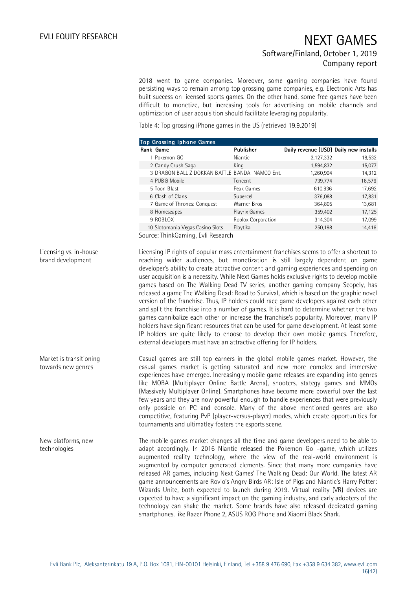2018 went to game companies. Moreover, some gaming companies have found persisting ways to remain among top grossing game companies, e.g. Electronic Arts has built success on licensed sports games. On the other hand, some free games have been difficult to monetize, but increasing tools for advertising on mobile channels and optimization of user acquisition should facilitate leveraging popularity.

Table 4: Top grossing iPhone games in the US (retrieved 19.9.2019)

|                                               | Top Grossing Iphone Games                                            |                    |                                                                                                                                                                                                                                                                                                                                                                                                                                                                                                                                                                                                                                                                                                                                                                                                                                                                                                                                                                                                                     |        |
|-----------------------------------------------|----------------------------------------------------------------------|--------------------|---------------------------------------------------------------------------------------------------------------------------------------------------------------------------------------------------------------------------------------------------------------------------------------------------------------------------------------------------------------------------------------------------------------------------------------------------------------------------------------------------------------------------------------------------------------------------------------------------------------------------------------------------------------------------------------------------------------------------------------------------------------------------------------------------------------------------------------------------------------------------------------------------------------------------------------------------------------------------------------------------------------------|--------|
|                                               | Rank Game                                                            | Publisher          | Daily revenue (USD) Daily new installs                                                                                                                                                                                                                                                                                                                                                                                                                                                                                                                                                                                                                                                                                                                                                                                                                                                                                                                                                                              |        |
|                                               | 1 Pokemon GO                                                         | Niantic            | 2,127,332                                                                                                                                                                                                                                                                                                                                                                                                                                                                                                                                                                                                                                                                                                                                                                                                                                                                                                                                                                                                           | 18,532 |
|                                               | 2 Candy Crush Saga                                                   | King               | 1,594,832                                                                                                                                                                                                                                                                                                                                                                                                                                                                                                                                                                                                                                                                                                                                                                                                                                                                                                                                                                                                           | 15,077 |
|                                               | 3 DRAGON BALL Z DOKKAN BATTLE BANDAI NAMCO Ent.                      |                    | 1,260,904                                                                                                                                                                                                                                                                                                                                                                                                                                                                                                                                                                                                                                                                                                                                                                                                                                                                                                                                                                                                           | 14,312 |
|                                               | 4 PUBG Mobile                                                        | Tencent            | 739,774                                                                                                                                                                                                                                                                                                                                                                                                                                                                                                                                                                                                                                                                                                                                                                                                                                                                                                                                                                                                             | 16,576 |
|                                               | 5 Toon Blast                                                         | Peak Games         | 610,936                                                                                                                                                                                                                                                                                                                                                                                                                                                                                                                                                                                                                                                                                                                                                                                                                                                                                                                                                                                                             | 17,692 |
|                                               | 6 Clash of Clans                                                     | Supercell          | 376,088                                                                                                                                                                                                                                                                                                                                                                                                                                                                                                                                                                                                                                                                                                                                                                                                                                                                                                                                                                                                             | 17,831 |
|                                               | 7 Game of Thrones: Conquest                                          | Warner Bros        | 364,805                                                                                                                                                                                                                                                                                                                                                                                                                                                                                                                                                                                                                                                                                                                                                                                                                                                                                                                                                                                                             | 13,681 |
|                                               | 8 Homescapes                                                         | Playrix Games      | 359,402                                                                                                                                                                                                                                                                                                                                                                                                                                                                                                                                                                                                                                                                                                                                                                                                                                                                                                                                                                                                             | 17,125 |
|                                               | 9 ROBLOX                                                             | Roblox Corporation | 314,304                                                                                                                                                                                                                                                                                                                                                                                                                                                                                                                                                                                                                                                                                                                                                                                                                                                                                                                                                                                                             | 17,099 |
|                                               | 10 Slotomania Vegas Casino Slots                                     | Playtika           | 250,198                                                                                                                                                                                                                                                                                                                                                                                                                                                                                                                                                                                                                                                                                                                                                                                                                                                                                                                                                                                                             | 14,416 |
|                                               | Source: ThinkGaming, Evli Research                                   |                    |                                                                                                                                                                                                                                                                                                                                                                                                                                                                                                                                                                                                                                                                                                                                                                                                                                                                                                                                                                                                                     |        |
| Licensing vs. in-house<br>brand development   | external developers must have an attractive offering for IP holders. |                    | Licensing IP rights of popular mass entertainment franchises seems to offer a shortcut to<br>reaching wider audiences, but monetization is still largely dependent on game<br>developer's ability to create attractive content and gaming experiences and spending on<br>user acquisition is a necessity. While Next Games holds exclusive rights to develop mobile<br>games based on The Walking Dead TV series, another gaming company Scopely, has<br>released a game The Walking Dead: Road to Survival, which is based on the graphic novel<br>version of the franchise. Thus, IP holders could race game developers against each other<br>and split the franchise into a number of games. It is hard to determine whether the two<br>games cannibalize each other or increase the franchise's popularity. Moreover, many IP<br>holders have significant resources that can be used for game development. At least some<br>IP holders are quite likely to choose to develop their own mobile games. Therefore, |        |
| Market is transitioning<br>towards new genres | tournaments and ultimatley fosters the esports scene.                |                    | Casual games are still top earners in the global mobile games market. However, the<br>casual games market is getting saturated and new more complex and immersive<br>experiences have emerged. Increasingly mobile game releases are expanding into genres<br>like MOBA (Multiplayer Online Battle Arena), shooters, stategy games and MMOs<br>(Massively Multiplayer Online). Smartphones have become more powerful over the last<br>few years and they are now powerful enough to handle experiences that were previously<br>only possible on PC and console. Many of the above mentioned genres are also<br>competitive, featuring PvP (player-versus-player) modes, which create opportunities for                                                                                                                                                                                                                                                                                                              |        |
| New platforms, new<br>technologies            |                                                                      |                    | The mobile games market changes all the time and game developers need to be able to<br>adapt accordingly. In 2016 Niantic released the Pokemon Go -game, which utilizes<br>augmented reality technology, where the view of the real-world environment is<br>augmented by computer generated elements. Since that many more companies have<br>released AR games, including Next Games' The Walking Dead: Our World. The latest AR<br>game announcements are Rovio's Angry Birds AR: Isle of Pigs and Niantic's Harry Potter:<br>Wizards Unite, both expected to launch during 2019. Virtual reality (VR) devices are<br>expected to have a significant impact on the gaming industry, and early adopters of the<br>technology can shake the market. Some brands have also released dedicated gaming                                                                                                                                                                                                                  |        |

smartphones, like Razer Phone 2, ASUS ROG Phone and Xiaomi Black Shark.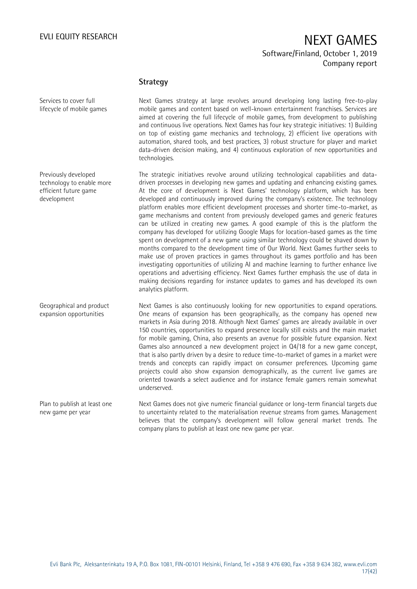Services to cover full lifecycle of mobile games

## EVLI EQUITY RESEARCH NEXT GAMES Software/Finland, October 1, 2019 Company report

### **Strategy**

Next Games strategy at large revolves around developing long lasting free-to-play mobile games and content based on well-known entertainment franchises. Services are aimed at covering the full lifecycle of mobile games, from development to publishing and continuous live operations. Next Games has four key strategic initiatives: 1) Building on top of existing game mechanics and technology, 2) efficient live operations with automation, shared tools, and best practices, 3) robust structure for player and market data-driven decision making, and 4) continuous exploration of new opportunities and technologies.

The strategic initiatives revolve around utilizing technological capabilities and datadriven processes in developing new games and updating and enhancing existing games. At the core of development is Next Games' technology platform, which has been developed and continuously improved during the company's existence. The technology platform enables more efficient development processes and shorter time-to-market, as game mechanisms and content from previously developed games and generic features can be utilized in creating new games. A good example of this is the platform the company has developed for utilizing Google Maps for location-based games as the time spent on development of a new game using similar technology could be shaved down by months compared to the development time of Our World. Next Games further seeks to make use of proven practices in games throughout its games portfolio and has been investigating opportunities of utilizing AI and machine learning to further enhance live operations and advertising efficiency. Next Games further emphasis the use of data in making decisions regarding for instance updates to games and has developed its own analytics platform.

Next Games is also continuously looking for new opportunities to expand operations. One means of expansion has been geographically, as the company has opened new markets in Asia during 2018. Although Next Games' games are already available in over 150 countries, opportunities to expand presence locally still exists and the main market for mobile gaming, China, also presents an avenue for possible future expansion. Next Games also announced a new development project in Q4/18 for a new game concept, that is also partly driven by a desire to reduce time-to-market of games in a market were trends and concepts can rapidly impact on consumer preferences. Upcoming game projects could also show expansion demographically, as the current live games are oriented towards a select audience and for instance female gamers remain somewhat underserved.

to uncertainty related to the materialisation revenue streams from games. Management believes that the company's development will follow general market trends. The company plans to publish at least one new game per year. new game per year

Previously developed technology to enable more efficient future game development

Geographical and product expansion opportunities

Plan to publish at least one

Next Games does not give numeric financial guidance or long-term financial targets due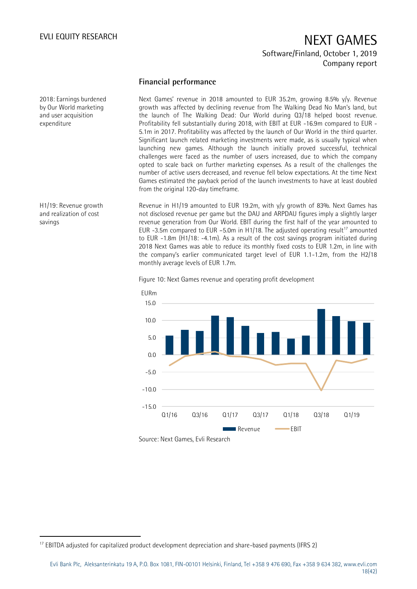### **Financial performance**

Next Games' revenue in 2018 amounted to EUR 35.2m, growing 8.5% y/y. Revenue growth was affected by declining revenue from The Walking Dead No Man's land, but the launch of The Walking Dead: Our World during Q3/18 helped boost revenue. Profitability fell substantially during 2018, with EBIT at EUR -16.9m compared to EUR - 5.1m in 2017. Profitability was affected by the launch of Our World in the third quarter. Significant launch related marketing investments were made, as is usually typical when launching new games. Although the launch initially proved successful, technical challenges were faced as the number of users increased, due to which the company opted to scale back on further marketing expenses. As a result of the challenges the number of active users decreased, and revenue fell below expectations. At the time Next Games estimated the payback period of the launch investments to have at least doubled from the original 120-day timeframe.

Revenue in H1/19 amounted to EUR 19.2m, with y/y growth of 83%. Next Games has not disclosed revenue per game but the DAU and ARPDAU figures imply a slightly larger revenue generation from Our World. EBIT during the first half of the year amounted to EUR -3.5m compared to EUR -5.0m in H1/18. The adjusted operating result<sup>17</sup> amounted to EUR -1.8m (H1/18: -4.1m). As a result of the cost savings program initiated during 2018 Next Games was able to reduce its monthly fixed costs to EUR 1.2m, in line with the company's earlier communicated target level of EUR 1.1-1.2m, from the H2/18 monthly average levels of EUR 1.7m.

Figure 10: Next Games revenue and operating profit development



2018: Earnings burdened by Our World marketing and user acquisition expenditure

H1/19: Revenue growth and realization of cost savings

-

<sup>&</sup>lt;sup>17</sup> EBITDA adjusted for capitalized product development depreciation and share-based payments (IFRS 2)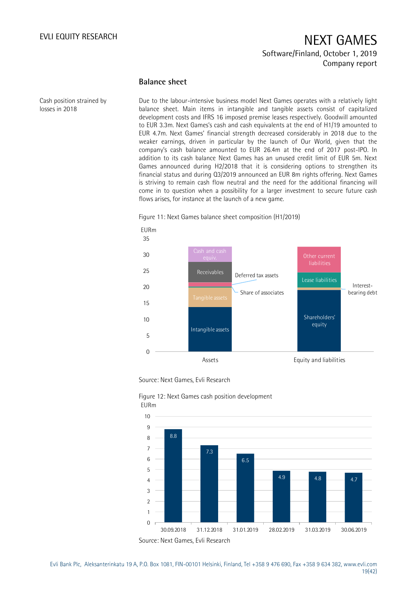### **Balance sheet**

Cash position strained by losses in 2018

Due to the labour-intensive business model Next Games operates with a relatively light balance sheet. Main items in intangible and tangible assets consist of capitalized development costs and IFRS 16 imposed premise leases respectively. Goodwill amounted to EUR 3.3m. Next Games's cash and cash equivalents at the end of H1/19 amounted to EUR 4.7m. Next Games' financial strength decreased considerably in 2018 due to the weaker earnings, driven in particular by the launch of Our World, given that the company's cash balance amounted to EUR 26.4m at the end of 2017 post-IPO. In addition to its cash balance Next Games has an unused credit limit of EUR 5m. Next Games announced during H2/2018 that it is considering options to strengthen its financial status and during Q3/2019 announced an EUR 8m rights offering. Next Games is striving to remain cash flow neutral and the need for the additional financing will come in to question when a possibility for a larger investment to secure future cash flows arises, for instance at the launch of a new game.



Figure 11: Next Games balance sheet composition (H1/2019)

Source: Next Games, Evli Research



Figure 12: Next Games cash position development EURm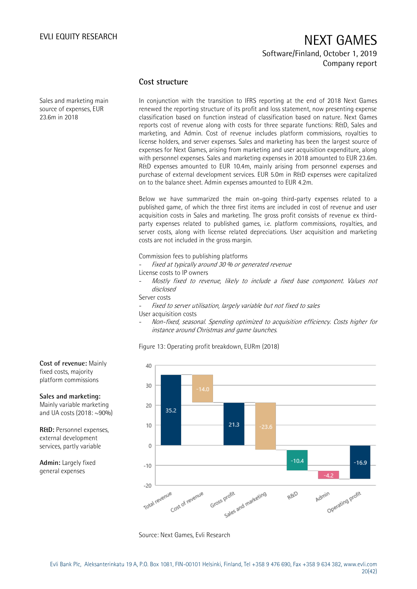### **Cost structure**

Sales and marketing main source of expenses, EUR 23.6m in 2018

In conjunction with the transition to IFRS reporting at the end of 2018 Next Games renewed the reporting structure of its profit and loss statement, now presenting expense classification based on function instead of classification based on nature. Next Games reports cost of revenue along with costs for three separate functions: R&D, Sales and marketing, and Admin. Cost of revenue includes platform commissions, royalties to license holders, and server expenses. Sales and marketing has been the largest source of expenses for Next Games, arising from marketing and user acquisition expenditure, along with personnel expenses. Sales and marketing expenses in 2018 amounted to EUR 23.6m. R&D expenses amounted to EUR 10.4m, mainly arising from personnel expenses and purchase of external development services. EUR 5.0m in R&D expenses were capitalized on to the balance sheet. Admin expenses amounted to EUR 4.2m.

Below we have summarized the main on-going third-party expenses related to a published game, of which the three first items are included in cost of revenue and user acquisition costs in Sales and marketing. The gross profit consists of revenue ex thirdparty expenses related to published games, i.e. platform commissions, royalties, and server costs, along with license related depreciations. User acquisition and marketing costs are not included in the gross margin.

Commission fees to publishing platforms

Fixed at typically around 30 % or generated revenue

License costs to IP owners

Mostly fixed to revenue, likely to include a fixed base component. Values not disclosed

Server costs

Fixed to server utilisation, largely variable but not fixed to sales

User acquisition costs

- Non-fixed, seasonal. Spending optimized to acquisition efficiency. Costs higher for instance around Christmas and game launches.

Figure 13: Operating profit breakdown, EURm (2018)



fixed costs, majority platform commissions **Sales and marketing:**

**Cost of revenue:** Mainly

Mainly variable marketing and UA costs (2018: ~90%)

**R&D:** Personnel expenses, external development services, partly variable

**Admin:** Largely fixed general expenses

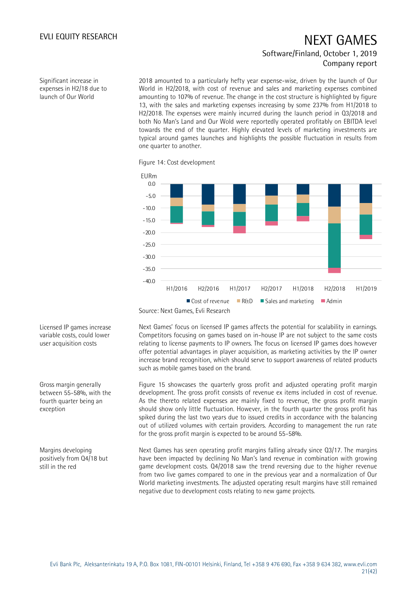Significant increase in expenses in H2/18 due to launch of Our World

2018 amounted to a particularly hefty year expense-wise, driven by the launch of Our World in H2/2018, with cost of revenue and sales and marketing expenses combined amounting to 107% of revenue. The change in the cost structure is highlighted by figure 13, with the sales and marketing expenses increasing by some 237% from H1/2018 to H2/2018. The expenses were mainly incurred during the launch period in Q3/2018 and both No Man's Land and Our Wold were reportedly operated profitably on EBITDA level towards the end of the quarter. Highly elevated levels of marketing investments are typical around games launches and highlights the possible fluctuation in results from one quarter to another.

Figure 14: Cost development



Source: Next Games, Evli Research

Next Games' focus on licensed IP games affects the potential for scalability in earnings. Competitors focusing on games based on in-house IP are not subject to the same costs relating to license payments to IP owners. The focus on licensed IP games does however offer potential advantages in player acquisition, as marketing activities by the IP owner increase brand recognition, which should serve to support awareness of related products such as mobile games based on the brand.

Figure 15 showcases the quarterly gross profit and adjusted operating profit margin development. The gross profit consists of revenue ex items included in cost of revenue. As the thereto related expenses are mainly fixed to revenue, the gross profit margin should show only little fluctuation. However, in the fourth quarter the gross profit has spiked during the last two years due to issued credits in accordance with the balancing out of utilized volumes with certain providers. According to management the run rate for the gross profit margin is expected to be around 55-58%.

Next Games has seen operating profit margins falling already since Q3/17. The margins have been impacted by declining No Man's land revenue in combination with growing game development costs. Q4/2018 saw the trend reversing due to the higher revenue from two live games compared to one in the previous year and a normalization of Our World marketing investments. The adjusted operating result margins have still remained negative due to development costs relating to new game projects.

Licensed IP games increase variable costs, could lower user acquisition costs

Gross margin generally between 55-58%, with the fourth quarter being an exception

Margins developing positively from Q4/18 but still in the red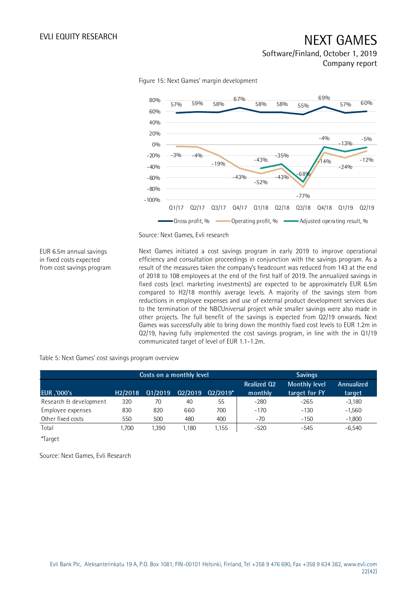

Figure 15: Next Games' margin development

Source: Next Games, Evli research

EUR 6.5m annual savings in fixed costs expected from cost savings program Next Games initiated a cost savings program in early 2019 to improve operational efficiency and consultation proceedings in conjunction with the savings program. As a result of the measures taken the company's headcount was reduced from 143 at the end of 2018 to 108 employees at the end of the first half of 2019. The annualized savings in fixed costs (excl. marketing investments) are expected to be approximately EUR 6.5m compared to H2/18 monthly average levels. A majority of the savings stem from reductions in employee expenses and use of external product development services due to the termination of the NBCUniversal project while smaller savings were also made in other projects. The full benefit of the savings is expected from Q2/19 onwards. Next Games was successfully able to bring down the monthly fixed cost levels to EUR 1.2m in Q2/19, having fully implemented the cost savings program, in line with the in Q1/19 communicated target of level of EUR 1.1-1.2m.

Table 5: Next Games' cost savings program overview

|                        |                      | Costs on a monthly level |         |            |                               | <b>Savings</b>                        |                      |  |  |  |
|------------------------|----------------------|--------------------------|---------|------------|-------------------------------|---------------------------------------|----------------------|--|--|--|
| <b>EUR</b> , '000's    | H <sub>2</sub> /2018 | 01/2019                  | 02/2019 | $Q2/2019*$ | <b>Realized Q2</b><br>monthly | <b>Monthly level</b><br>target for FY | Annualized<br>target |  |  |  |
| Research & development | 320                  | 70                       | 40      | 55         | $-280$                        | $-265$                                | $-3,180$             |  |  |  |
| Employee expenses      | 830                  | 820                      | 660     | 700        | $-170$                        | $-130$                                | $-1,560$             |  |  |  |
| Other fixed costs      | 550                  | 500                      | 480     | 400        | $-70$                         | $-150$                                | $-1,800$             |  |  |  |
| Total                  | .700                 | 1,390                    | 1.180   | 1,155      | $-520$                        | $-545$                                | $-6,540$             |  |  |  |
| *Target                |                      |                          |         |            |                               |                                       |                      |  |  |  |

Source: Next Games, Evli Research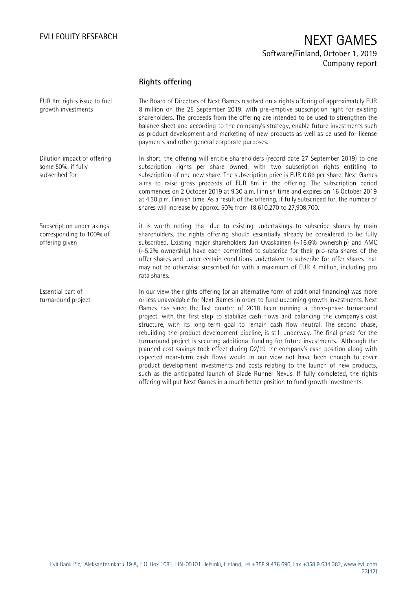### **Rights offering**

The Board of Directors of Next Games resolved on a rights offering of approximately EUR 8 million on the 25 September 2019, with pre-emptive subscription right for existing shareholders. The proceeds from the offering are intended to be used to strengthen the balance sheet and according to the company's strategy, enable future investments such as product development and marketing of new products as well as be used for license payments and other general corporate purposes. EUR 8m rights issue to fuel growth investments

In short, the offering will entitle shareholders (record date 27 September 2019) to one subscription rights per share owned, with two subscription rights entitling to subscription of one new share. The subscription price is EUR 0.86 per share. Next Games aims to raise gross proceeds of EUR 8m in the offering. The subscription period commences on 2 October 2019 at 9.30 a.m. Finnish time and expires on 16 October 2019 at 4.30 p.m. Finnish time. As a result of the offering, if fully subscribed for, the number of shares will increase by approx. 50% from 18,610,270 to 27,908,700. some 50%, if fully

> it is worth noting that due to existing undertakings to subscribe shares by main shareholders, the rights offering should essentially already be considered to be fully subscribed. Existing major shareholders Jari Ovaskainen  $(\sim 16.6\%$  ownership) and AMC (~5.2% ownership) have each committed to subscribe for their pro-rata shares of the offer shares and under certain conditions undertaken to subscribe for offer shares that may not be otherwise subscribed for with a maximum of EUR 4 million, including pro rata shares.

> In our view the rights offering (or an alternative form of additional financing) was more or less unavoidable for Next Games in order to fund upcoming growth investments. Next Games has since the last quarter of 2018 been running a three-phase turnaround project, with the first step to stabilize cash flows and balancing the company's cost structure, with its long-term goal to remain cash flow neutral. The second phase, rebuilding the product development pipeline, is still underway. The final phase for the turnaround project is securing additional funding for future investments. Although the planned cost savings took effect during Q2/19 the company's cash position along with expected near-term cash flows would in our view not have been enough to cover product development investments and costs relating to the launch of new products, such as the anticipated launch of Blade Runner Nexus. If fully completed, the rights offering will put Next Games in a much better position to fund growth investments.

Evli Bank Plc, Aleksanterinkatu 19 A, P.O. Box 1081, FIN-00101 Helsinki, Finland, Tel +358 9 476 690, Fax +358 9 634 382, [www.evli.com](http://www.evli.com/) 23(42)

Subscription undertakings corresponding to 100% of offering given

Essential part of turnaround project

Dilution impact of offering

subscribed for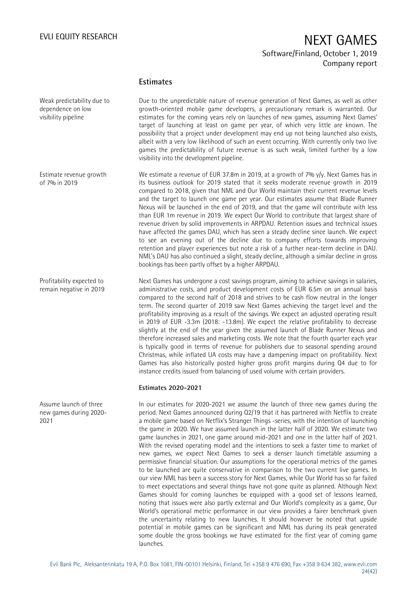### **Estimates**

Due to the unpredictable nature of revenue generation of Next Games, as well as other growth-oriented mobile game developers, a precautionary remark is warranted. Our estimates for the coming years rely on launches of new games, assuming Next Games' target of launching at least on game per year, of which very little are known. The possibility that a project under development may end up not being launched also exists, albeit with a very low likelihood of such an event occurring. With currently only two live games the predictability of future revenue is as such weak, limited further by a low visibility into the development pipeline.

We estimate a revenue of EUR 37.8m in 2019, at a growth of 7%  $y/y$ . Next Games has in its business outlook for 2019 stated that it seeks moderate revenue growth in 2019 compared to 2018, given that NML and Our World maintain their current revenue levels and the target to launch one game per year. Our estimates assume that Blade Runner Nexus will be launched in the end of 2019, and that the game will contribute with less than EUR 1m revenue in 2019. We expect Our World to contribute that largest share of revenue driven by solid improvements in ARPDAU. Retention issues and technical issues have affected the games DAU, which has seen a steady decline since launch. We expect to see an evening out of the decline due to company efforts towards improving retention and player experiences but note a risk of a further near-term decline in DAU. NML's DAU has also continued a slight, steady decline, although a similar decline in gross bookings has been partly offset by a higher ARPDAU.

Next Games has undergone a cost savings program, aiming to achieve savings in salaries, administrative costs, and product development costs of EUR 6.5m on an annual basis compared to the second half of 2018 and strives to be cash flow neutral in the longer term. The second quarter of 2019 saw Next Games achieving the target level and the profitability improving as a result of the savings. We expect an adjusted operating result in 2019 of EUR -3.3m (2018: -13.8m). We expect the relative profitability to decrease slightly at the end of the year given the assumed launch of Blade Runner Nexus and therefore increased sales and marketing costs. We note that the fourth quarter each year is typically good in terms of revenue for publishers due to seasonal spending around Christmas, while inflated UA costs may have a dampening impact on profitability. Next Games has also historically posted higher gross profit margins during Q4 due to for instance credits issued from balancing of used volume with certain providers.

### **Estimates 2020-2021**

In our estimates for 2020-2021 we assume the launch of three new games during the period. Next Games announced during Q2/19 that it has partnered with Netflix to create a mobile game based on Netflix's Stranger Things -series, with the intention of launching the game in 2020. We have assumed launch in the latter half of 2020. We estimate two game launches in 2021, one game around mid-2021 and one in the latter half of 2021. With the revised operating model and the intentions to seek a faster time to market of new games, we expect Next Games to seek a denser launch timetable assuming a permissive financial situation. Our assumptions for the operational metrics of the games to be launched are quite conservative in comparison to the two current live games. In our view NML has been a success story for Next Games, while Our World has so far failed to meet expectations and several things have not gone quite as planned. Although Next Games should for coming launches be equipped with a good set of lessons learned, noting that issues were also partly external and Our World's complexity as a game, Our World's operational metric performance in our view provides a fairer benchmark given the uncertainty relating to new launches. It should however be noted that upside potential in mobile games can be significant and NML has during its peak generated some double the gross bookings we have estimated for the first year of coming game launches.

Weak predictability due to dependence on low visibility pipeline

Estimate revenue growth of 7% in 2019

Profitability expected to remain negative in 2019

Assume launch of three new games during 2020- 2021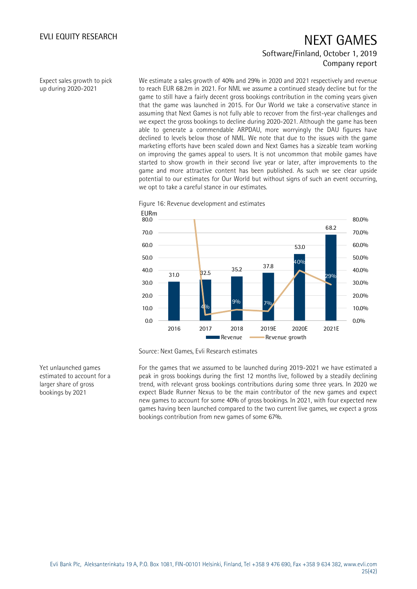Expect sales growth to pick up during 2020-2021

We estimate a sales growth of 40% and 29% in 2020 and 2021 respectively and revenue to reach EUR 68.2m in 2021. For NML we assume a continued steady decline but for the game to still have a fairly decent gross bookings contribution in the coming years given that the game was launched in 2015. For Our World we take a conservative stance in assuming that Next Games is not fully able to recover from the first-year challenges and we expect the gross bookings to decline during 2020-2021. Although the game has been able to generate a commendable ARPDAU, more worryingly the DAU figures have declined to levels below those of NML. We note that due to the issues with the game marketing efforts have been scaled down and Next Games has a sizeable team working on improving the games appeal to users. It is not uncommon that mobile games have started to show growth in their second live year or later, after improvements to the game and more attractive content has been published. As such we see clear upside potential to our estimates for Our World but without signs of such an event occurring, we opt to take a careful stance in our estimates.

Figure 16: Revenue development and estimates



Source: Next Games, Evli Research estimates

For the games that we assumed to be launched during 2019-2021 we have estimated a peak in gross bookings during the first 12 months live, followed by a steadily declining trend, with relevant gross bookings contributions during some three years. In 2020 we expect Blade Runner Nexus to be the main contributor of the new games and expect new games to account for some 40% of gross bookings. In 2021, with four expected new games having been launched compared to the two current live games, we expect a gross bookings contribution from new games of some 67%.

Yet unlaunched games estimated to account for a larger share of gross bookings by 2021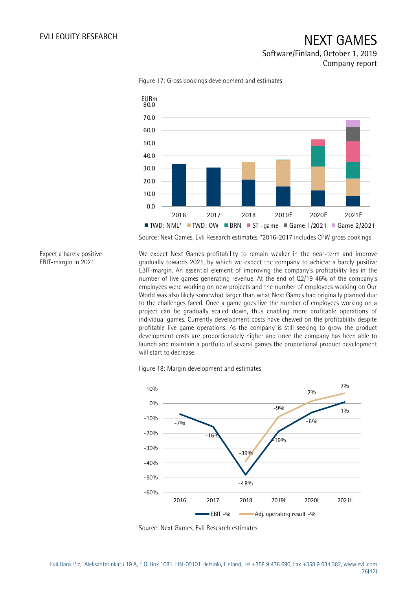### Software/Finland, October 1, 2019 Company report



Figure 17: Gross bookings development and estimates

Source: Next Games, Evli Research estimates. \*2016-2017 includes CPW gross bookings

Expect a barely positive EBIT-margin in 2021

We expect Next Games profitability to remain weaker in the near-term and improve gradually towards 2021, by which we expect the company to achieve a barely positive EBIT-margin. An essential element of improving the company's profitability lies in the number of live games generating revenue. At the end of Q2/19 46% of the company's employees were working on new projects and the number of employees working on Our World was also likely somewhat larger than what Next Games had originally planned due to the challenges faced. Once a game goes live the number of employees working on a project can be gradually scaled down, thus enabling more profitable operations of individual games. Currently development costs have chewed on the profitability despite profitable live game operations. As the company is still seeking to grow the product development costs are proportionately higher and once the company has been able to launch and maintain a portfolio of several games the proportional product development will start to decrease.

Figure 18: Margin development and estimates



Source: Next Games, Evli Research estimates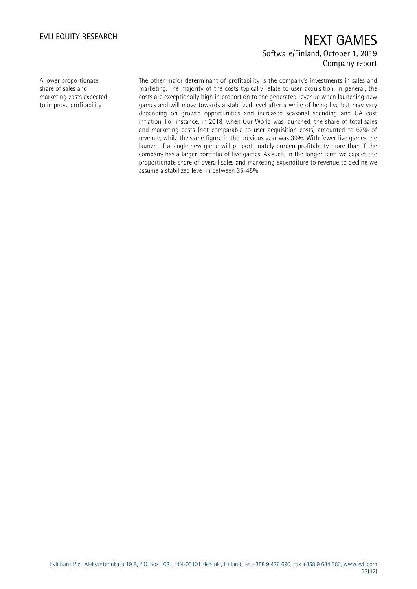A lower proportionate share of sales and marketing costs expected to improve profitability

The other major determinant of profitability is the company's investments in sales and marketing. The majority of the costs typically relate to user acquisition. In general, the costs are exceptionally high in proportion to the generated revenue when launching new games and will move towards a stabilized level after a while of being live but may vary depending on growth opportunities and increased seasonal spending and UA cost inflation. For instance, in 2018, when Our World was launched, the share of total sales and marketing costs (not comparable to user acquisition costs) amounted to 67% of revenue, while the same figure in the previous year was 39%. With fewer live games the launch of a single new game will proportionately burden profitability more than if the company has a larger portfolio of live games. As such, in the longer term we expect the proportionate share of overall sales and marketing expenditure to revenue to decline we assume a stabilized level in between 35-45%.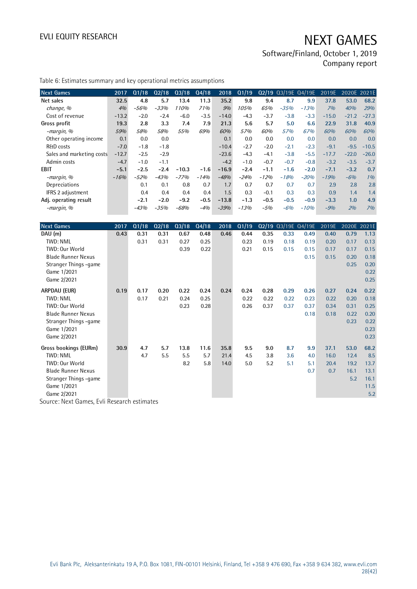Software/Finland, October 1, 2019 Company report

| <b>Next Games</b>         | 2017    | Q1/18  | Q2/18  | $Q_3/18$ | Q4/18  | 2018    | Q1/19  |        |        | Q2/19 Q3/19E Q4/19E | 2019E   | 2020E 2021E |         |
|---------------------------|---------|--------|--------|----------|--------|---------|--------|--------|--------|---------------------|---------|-------------|---------|
| Net sales                 | 32.5    | 4.8    | 5.7    | 13.4     | 11.3   | 35.2    | 9.8    | 9.4    | 8.7    | 9.9                 | 37.8    | 53.0        | 68.2    |
| change, %                 | 4%      | $-56%$ | $-33%$ | 110%     | 71%    | 9%      | 105%   | 65%    | $-35%$ | $-13%$              | 7%      | 40%         | 29%     |
| Cost of revenue           | $-13.2$ | $-2.0$ | $-2.4$ | $-6.0$   | $-3.5$ | $-14.0$ | $-4.3$ | $-3.7$ | $-3.8$ | $-3.3$              | $-15.0$ | $-21.2$     | $-27.3$ |
| Gross profit              | 19.3    | 2.8    | 3.3    | 7.4      | 7.9    | 21.3    | 5.6    | 5.7    | 5.0    | 6.6                 | 22.9    | 31.8        | 40.9    |
| -margin, %                | 59%     | 58%    | 58%    | 55%      | 69%    | 60%     | 57%    | 60%    | 57%    | 67%                 | 60%     | 60%         | 60%     |
| Other operating income    | 0.1     | 0.0    | 0.0    |          |        | 0.1     | 0.0    | 0.0    | 0.0    | 0.0                 | 0.0     | 0.0         | 0.0     |
| <b>R&amp;D</b> costs      | $-7.0$  | $-1.8$ | $-1.8$ |          |        | $-10.4$ | $-2.7$ | $-2.0$ | $-2.1$ | $-2.3$              | $-9.1$  | $-9.5$      | $-10.5$ |
| Sales and marketing costs | $-12.7$ | $-2.5$ | $-2.9$ |          |        | $-23.6$ | $-4.3$ | $-4.1$ | $-3.8$ | $-5.5$              | $-17.7$ | $-22.0$     | $-26.0$ |
| Admin costs               | $-4.7$  | $-1.0$ | $-1.1$ |          |        | $-4.2$  | $-1.0$ | $-0.7$ | $-0.7$ | $-0.8$              | $-3.2$  | $-3.5$      | $-3.7$  |
| EBIT                      | $-5.1$  | $-2.5$ | $-2.4$ | $-10.3$  | $-1.6$ | $-16.9$ | $-2.4$ | $-1.1$ | $-1.6$ | $-2.0$              | $-7.1$  | $-3.2$      | 0.7     |
| -margin, %                | $-16%$  | $-52%$ | $-43%$ | $-77%$   | $-14%$ | $-48%$  | $-24%$ | $-12%$ | $-18%$ | $-20%$              | $-19%$  | $-6%$       | 1%      |
| Depreciations             |         | 0.1    | 0.1    | 0.8      | 0.7    | 1.7     | 0.7    | 0.7    | 0.7    | 0.7                 | 2.9     | 2.8         | 2.8     |
| IFRS 2 adjustment         |         | 0.4    | 0.4    | 0.4      | 0.4    | 1.5     | 0.3    | $-0.1$ | 0.3    | 0.3                 | 0.9     | 1.4         | 1.4     |
| Adj. operating result     |         | $-2.1$ | $-2.0$ | $-9.2$   | $-0.5$ | $-13.8$ | $-1.3$ | $-0.5$ | $-0.5$ | $-0.9$              | $-3.3$  | 1.0         | 4.9     |
| -margin, %                |         | $-43%$ | $-35%$ | $-68%$   | $-4%$  | $-39%$  | $-13%$ | $-5%$  | $-6%$  | $-10%$              | $-9%$   | 2%          | 7%      |

| <b>Next Games</b>         | 2017 | Q1/18 | Q2/18 | Q3/18 | Q4/18 | 2018 | Q1/19 |      |      | Q2/19 Q3/19E Q4/19E | 2019E | 2020E 2021E |      |
|---------------------------|------|-------|-------|-------|-------|------|-------|------|------|---------------------|-------|-------------|------|
| DAU (m)                   | 0.43 | 0.31  | 0.31  | 0.67  | 0.48  | 0.46 | 0.44  | 0.35 | 0.33 | 0.49                | 0.40  | 0.79        | 1.13 |
| TWD: NML                  |      | 0.31  | 0.31  | 0.27  | 0.25  |      | 0.23  | 0.19 | 0.18 | 0.19                | 0.20  | 0.17        | 0.13 |
| TWD: Our World            |      |       |       | 0.39  | 0.22  |      | 0.21  | 0.15 | 0.15 | 0.15                | 0.17  | 0.17        | 0.15 |
| <b>Blade Runner Nexus</b> |      |       |       |       |       |      |       |      |      | 0.15                | 0.15  | 0.20        | 0.18 |
| Stranger Things -game     |      |       |       |       |       |      |       |      |      |                     |       | 0.25        | 0.20 |
| Game 1/2021               |      |       |       |       |       |      |       |      |      |                     |       |             | 0.22 |
| Game 2/2021               |      |       |       |       |       |      |       |      |      |                     |       |             | 0.25 |
| ARPDAU (EUR)              | 0.19 | 0.17  | 0.20  | 0.22  | 0.24  | 0.24 | 0.24  | 0.28 | 0.29 | 0.26                | 0.27  | 0.24        | 0.22 |
| TWD: NML                  |      | 0.17  | 0.21  | 0.24  | 0.25  |      | 0.22  | 0.22 | 0.22 | 0.23                | 0.22  | 0.20        | 0.18 |
| TWD: Our World            |      |       |       | 0.23  | 0.28  |      | 0.26  | 0.37 | 0.37 | 0.37                | 0.34  | 0.31        | 0.25 |
| <b>Blade Runner Nexus</b> |      |       |       |       |       |      |       |      |      | 0.18                | 0.18  | 0.22        | 0.20 |
| Stranger Things -game     |      |       |       |       |       |      |       |      |      |                     |       | 0.23        | 0.22 |
| Game 1/2021               |      |       |       |       |       |      |       |      |      |                     |       |             | 0.23 |
| Game 2/2021               |      |       |       |       |       |      |       |      |      |                     |       |             | 0.23 |
| Gross bookings (EURm)     | 30.9 | 4.7   | 5.7   | 13.8  | 11.6  | 35.8 | 9.5   | 9.0  | 8.7  | 9.9                 | 37.1  | 53.0        | 68.2 |
| TWD: NML                  |      | 4.7   | 5.5   | 5.5   | 5.7   | 21.4 | 4.5   | 3.8  | 3.6  | 4.0                 | 16.0  | 12.4        | 8.5  |
| TWD: Our World            |      |       |       | 8.2   | 5.8   | 14.0 | 5.0   | 5.2  | 5.1  | 5.1                 | 20.4  | 19.2        | 13.7 |
| <b>Blade Runner Nexus</b> |      |       |       |       |       |      |       |      |      | 0.7                 | 0.7   | 16.1        | 13.1 |
| Stranger Things -game     |      |       |       |       |       |      |       |      |      |                     |       | 5.2         | 16.1 |
| Game 1/2021               |      |       |       |       |       |      |       |      |      |                     |       |             | 11.5 |
| Game 2/2021               |      |       |       |       |       |      |       |      |      |                     |       |             | 5.2  |

Source: Next Games, Evli Research estimates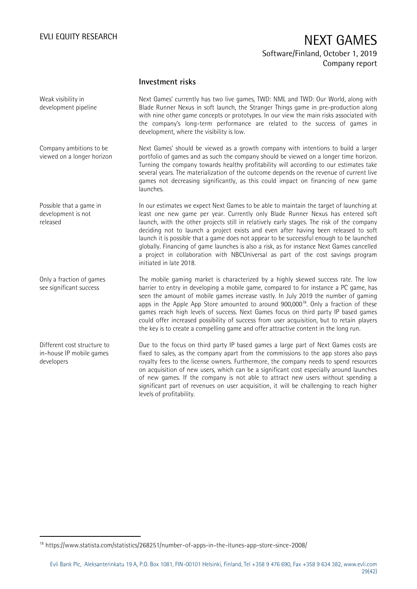### **Investment risks**

Next Games' currently has two live games, TWD: NML and TWD: Our World, along with Blade Runner Nexus in soft launch, the Stranger Things game in pre-production along with nine other game concepts or prototypes. In our view the main risks associated with the company's long-term performance are related to the success of games in development, where the visibility is low. Next Games' should be viewed as a growth company with intentions to build a larger portfolio of games and as such the company should be viewed on a longer time horizon. Turning the company towards healthy profitability will according to our estimates take several years. The materialization of the outcome depends on the revenue of current live games not decreasing significantly, as this could impact on financing of new game launches. In our estimates we expect Next Games to be able to maintain the target of launching at least one new game per year. Currently only Blade Runner Nexus has entered soft launch, with the other projects still in relatively early stages. The risk of the company deciding not to launch a project exists and even after having been released to soft launch it is possible that a game does not appear to be successful enough to be launched globally. Financing of game launches is also a risk, as for instance Next Games cancelled a project in collaboration with NBCUniversal as part of the cost savings program initiated in late 2018. The mobile gaming market is characterized by a highly skewed success rate. The low barrier to entry in developing a mobile game, compared to for instance a PC game, has seen the amount of mobile games increase vastly. In July 2019 the number of gaming apps in the Apple App Store amounted to around  $900,000^{18}$ . Only a fraction of these games reach high levels of success. Next Games focus on third party IP based games could offer increased possibility of success from user acquisition, but to retain players the key is to create a compelling game and offer attractive content in the long run. Due to the focus on third party IP based games a large part of Next Games costs are fixed to sales, as the company apart from the commissions to the app stores also pays royalty fees to the license owners. Furthermore, the company needs to spend resources on acquisition of new users, which can be a significant cost especially around launches of new games. If the company is not able to attract new users without spending a significant part of revenues on user acquisition, it will be challenging to reach higher Weak visibility in development pipeline Company ambitions to be viewed on a longer horizon Possible that a game in development is not released Only a fraction of games see significant success Different cost structure to in-house IP mobile games developers

-

levels of profitability.

<sup>18</sup> https://www.statista.com/statistics/268251/number-of-apps-in-the-itunes-app-store-since-2008/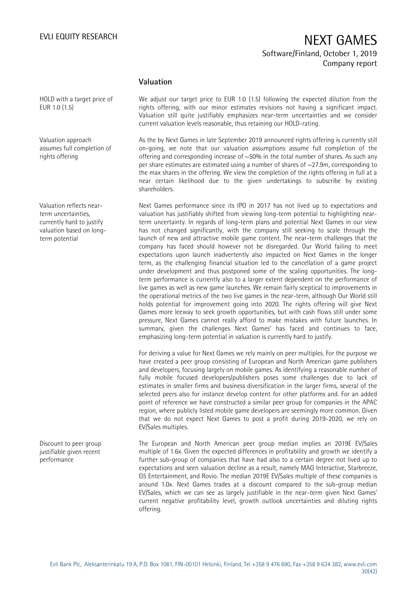### **Valuation**

HOLD with a target price of EUR 1.0 (1.5)

Valuation approach assumes full completion of rights offering

Valuation reflects nearterm uncertainties, currently hard to justify valuation based on longterm potential

Discount to peer group justifiable given recent performance

We adjust our target price to EUR 1.0 (1.5) following the expected dilution from the rights offering, with our minor estimates revisions not having a significant impact. Valuation still quite justifiably emphasizes near-term uncertainties and we consider current valuation levels reasonable, thus retaining our HOLD-rating.

As the by Next Games in late September 2019 announced rights offering is currently still on-going, we note that our valuation assumptions assume full completion of the offering and corresponding increase of  $\sim$ 50% in the total number of shares. As such any per share estimates are estimated using a number of shares of ~27.9m, corresponding to the max shares in the offering. We view the completion of the rights offering in full at a near certain likelihood due to the given undertakings to subscribe by existing shareholders.

Next Games performance since its IPO in 2017 has not lived up to expectations and valuation has justifiably shifted from viewing long-term potential to highlighting nearterm uncertainty. In regards of long-term plans and potential Next Games in our view has not changed significantly, with the company still seeking to scale through the launch of new and attractive mobile game content. The near-term challenges that the company has faced should however not be disregarded. Our World failing to meet expectations upon launch inadvertently also impacted on Next Games in the longer term, as the challenging financial situation led to the cancellation of a game project under development and thus postponed some of the scaling opportunities. The longterm performance is currently also to a larger extent dependent on the performance of live games as well as new game launches. We remain fairly sceptical to improvements in the operational metrics of the two live games in the near-term, although Our World still holds potential for improvement going into 2020. The rights offering will give Next Games more leeway to seek growth opportunities, but with cash flows still under some pressure, Next Games cannot really afford to make mistakes with future launches. In summary, given the challenges Next Games' has faced and continues to face, emphasizing long-term potential in valuation is currently hard to justify.

For deriving a value for Next Games we rely mainly on peer multiples. For the purpose we have created a peer group consisting of European and North American game publishers and developers, focusing largely on mobile games. As identifying a reasonable number of fully mobile focused developers/publishers poses some challenges due to lack of estimates in smaller firms and business diversification in the larger firms, several of the selected peers also for instance develop content for other platforms and. For an added point of reference we have constructed a similar peer group for companies in the APAC region, where publicly listed mobile game developers are seemingly more common. Given that we do not expect Next Games to post a profit during 2019-2020, we rely on EV/Sales multiples.

The European and North American peer group median implies an 2019E EV/Sales multiple of 1.6x. Given the expected differences in profitability and growth we identify a further sub-group of companies that have had also to a certain degree not lived up to expectations and seen valuation decline as a result, namely MAG Interactive, Starbreeze, G5 Entertainment, and Rovio. The median 2019E EV/Sales multiple of these companies is around 1.0x. Next Games trades at a discount compared to the sub-group median EV/Sales, which we can see as largely justifiable in the near-term given Next Games' current negative profitability level, growth outlook uncertainties and diluting rights offering.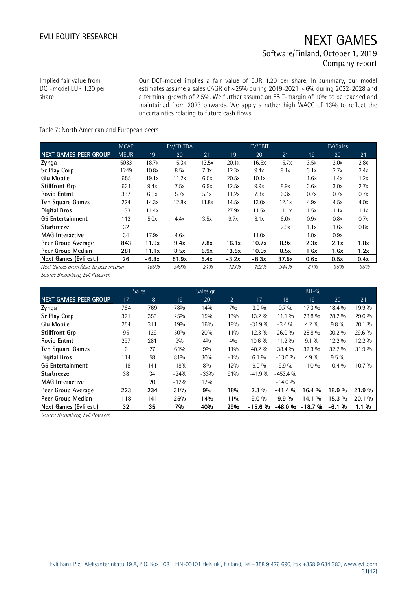Implied fair value from DCF-model EUR 1.20 per share

Our DCF-model implies a fair value of EUR 1.20 per share. In summary, our model estimates assume a sales CAGR of ~25% during 2019-2021, ~6% during 2022-2028 and a terminal growth of 2.5%. We further assume an EBIT-margin of 10% to be reached and maintained from 2023 onwards. We apply a rather high WACC of 13% to reflect the uncertainties relating to future cash flows.

### Table 7: North American and European peers

|                                       | <b>MCAP</b> |         | EV/EBITDA |        |         | EV/EBIT |       |        | EV/Sales |        |
|---------------------------------------|-------------|---------|-----------|--------|---------|---------|-------|--------|----------|--------|
| <b>NEXT GAMES PEER GROUP</b>          | <b>MEUR</b> | 19      | 20        | 21     | 19      | 20      | 21    | 19     | 20       | 21     |
| Zynga                                 | 5033        | 18.7x   | 15.3x     | 13.5x  | 20.1x   | 16.5x   | 15.7x | 3.5x   | 3.0x     | 2.8x   |
| SciPlay Corp                          | 1249        | 10.8x   | 8.5x      | 7.3x   | 12.3x   | 9.4x    | 8.1x  | 3.1x   | 2.7x     | 2.4x   |
| <b>Glu Mobile</b>                     | 655         | 19.1x   | 11.2x     | 6.5x   | 20.5x   | 10.1x   |       | 1.6x   | 1.4x     | 1.2x   |
| <b>Stillfront Grp</b>                 | 621         | 9.4x    | 7.5x      | 6.9x   | 12.5x   | 9.9x    | 8.9x  | 3.6x   | 3.0x     | 2.7x   |
| Rovio Entmt                           | 337         | 6.6x    | 5.7x      | 5.1x   | 11.2x   | 7.3x    | 6.3x  | 0.7x   | 0.7x     | 0.7x   |
| <b>Ten Square Games</b>               | 224         | 14.3x   | 12.8x     | 11.8x  | 14.5x   | 13.0x   | 12.1x | 4.9x   | 4.5x     | 4.0x   |
| <b>Digital Bros</b>                   | 133         | 11.4x   |           |        | 27.9x   | 11.5x   | 11.1x | 1.5x   | 1.1x     | 1.1x   |
| IG5 Entertainment                     | 112         | 5.0x    | 4.4x      | 3.5x   | 9.7x    | 8.1x    | 6.0x  | 0.9x   | 0.8x     | 0.7x   |
| <b>Starbreeze</b>                     | 32          |         |           |        |         |         | 2.9x  | 1.1x   | 1.6x     | 0.8x   |
| <b>MAG</b> Interactive                | 34          | 17.9x   | 4.6x      |        |         | 11.0x   |       | 1.0x   | 0.9x     |        |
| Peer Group Average                    | 843         | 11.9x   | 9.4x      | 7.8x   | 16.1x   | 10.7x   | 8.9x  | 2.3x   | 2.1x     | 1.8x   |
| Peer Group Median                     | 281         | 11.1x   | 8.5x      | 6.9x   | 13.5x   | 10.0x   | 8.5x  | 1.6x   | 1.6x     | 1.2x   |
| Next Games (Evli est.)                | 26          | $-6.8x$ | 51.9x     | 5.4x   | $-3.2x$ | $-8.3x$ | 37.5x | 0.6x   | 0.5x     | 0.4x   |
| Next Games prem./disc. to peer median |             | -160%   | 549%      | $-21%$ | $-123%$ | $-182%$ | 344%  | $-61%$ | $-66%$   | $-66%$ |

Source Bloomberg, Evli Research

|                                 |     | <b>Sales</b> |        | Sales gr. |       |          |           | EBIT-%   |         |        |
|---------------------------------|-----|--------------|--------|-----------|-------|----------|-----------|----------|---------|--------|
| <b>NEXT GAMES PEER GROUP</b>    | 17  | 18           | 19     | 20        | 21    | 17       | 18        | 19       | 20      | 21     |
| Zynga                           | 764 | 769          | 78%    | 14%       | 70/0  | $3.0\%$  | 0.7%      | 17.3 %   | 18.4 %  | 19.9 % |
| <b>SciPlay Corp</b>             | 321 | 353          | 25%    | 15%       | 13%   | 13.2 %   | 11.1 %    | 23.8%    | 28.2 %  | 29.0 % |
| <b>Glu Mobile</b>               | 254 | 311          | 19%    | 16%       | 18%   | $-31.9%$ | $-3.4\%$  | $4.2\%$  | $9.8\%$ | 20.1 % |
| Stillfront Grp                  | 95  | 129          | 50%    | 20%       | 11%   | 12.3 %   | 26.0%     | 28.8%    | 30.2 %  | 29.6 % |
| <b>Rovio Entmt</b>              | 297 | 281          | 90/0   | 4%        | 4%    | 10.6 %   | 11.2 %    | $9.1\%$  | 12.2 %  | 12.2 % |
| Ten Square Games                | 6   | 27           | 61%    | 9%        | 11%   | 40.2 %   | 38.4 %    | 32.3 %   | 32.7 %  | 31.9%  |
| <b>Digital Bros</b>             | 114 | 58           | 81%    | 30%       | $-1%$ | $6.1\%$  | $-13.0%$  | $4.9\%$  | $9.5\%$ |        |
| <b>IG5 Entertainment</b>        | 118 | 141          | $-18%$ | 8%        | 12%   | $9.0\%$  | $9.9\%$   | 11.0 %   | 10.4 %  | 10.7 % |
| <b>Starbreeze</b>               | 38  | 34           | $-24%$ | $-33%$    | 91%   | $-41.9%$ | $-453.4%$ |          |         |        |
| <b>MAG</b> Interactive          |     | 20           | $-12%$ | 17%       |       |          | $-14.0%$  |          |         |        |
| Peer Group Average              | 223 | 234          | 31%    | 9%        | 18%   | $2.3\%$  | $-41.4%$  | 16.4 %   | 18.9 %  | 21.9 % |
| Peer Group Median               | 118 | 141          | 25%    | 14%       | 11%   | $9.0\%$  | $9.9\%$   | 14.1 %   | 15.3 %  | 20.1 % |
| Next Games (Evli est.)          | 32  | 35           | 7%     | 40%       | 29%   | $-15.6%$ | $-48.0%$  | $-18.7%$ | $-6.1%$ | 1.1%   |
| Source Bloomberg, Evli Research |     |              |        |           |       |          |           |          |         |        |

Source Bloomberg, Evli Research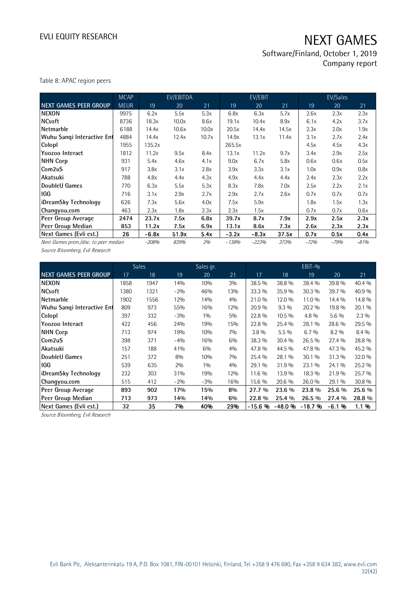Software/Finland, October 1, 2019 Company report

Table 8: APAC region peers

|                                       | <b>MCAP</b> |         | EV/EBITDA |       |         | EV/EBIT |             |        | EV/Sales |        |
|---------------------------------------|-------------|---------|-----------|-------|---------|---------|-------------|--------|----------|--------|
| <b>NEXT GAMES PEER GROUP</b>          | <b>MEUR</b> | 19      | 20        | 21    | 19      | 20      | 21          | 19     | 20       | 21     |
| <b>NEXON</b>                          | 9975        | 6.2x    | 5.5x      | 5.3x  | 6.8x    | 6.3x    | 5.7x        | 2.6x   | 2.3x     | 2.3x   |
| <b>NCsoft</b>                         | 8736        | 18.3x   | 10.0x     | 8.6x  | 19.1x   | 10.4x   | 8.9x        | 6.1x   | 4.2x     | 3.7x   |
| Netmarble                             | 6188        | 14.4x   | 10.6x     | 10.0x | 20.5x   | 14.4x   | 14.5x       | 2.3x   | 2.0x     | 1.9x   |
| Wuhu Sanqi Interactive Ent            | 4884        | 14.4x   | 12.4x     | 10.7x | 14.9x   | 13.1x   | 11.4x       | 3.1x   | 2.7x     | 2.4x   |
| Colopl                                | 1955        | 135.2x  |           |       | 265.5x  |         |             | 4.5x   | 4.5x     | 4.3x   |
| Yoozoo Interact                       | 1812        | 11.2x   | 9.5x      | 8.4x  | 13.1x   | 11.2x   | 9.7x        | 3.4x   | 2.9x     | 2.5x   |
| NHN Corp                              | 931         | 5.4x    | 4.6x      | 4.1x  | 9.0x    | 6.7x    | 5.8x        | 0.6x   | 0.6x     | 0.5x   |
| Com2uS                                | 917         | 3.8x    | 3.1x      | 2.8x  | 3.9x    | 3.3x    | 3.1x        | 1.0x   | 0.9x     | 0.8x   |
| Akatsuki                              | 788         | 4.8x    | 4.4x      | 4.3x  | 4.9x    | 4.4x    | 4.4x        | 2.4x   | 2.3x     | 2.2x   |
| DoubleU Games                         | 770         | 6.3x    | 5.5x      | 5.3x  | 8.3x    | 7.8x    | 7.0x        | 2.5x   | 2.2x     | 2.1x   |
| IGG                                   | 716         | 3.1x    | 2.9x      | 2.7x  | 2.9x    | 2.7x    | 2.6x        | 0.7x   | 0.7x     | 0.7x   |
| iDreamSky Technology                  | 626         | 7.3x    | 5.6x      | 4.0x  | 7.5x    | 5.9x    |             | 1.8x   | 1.5x     | 1.3x   |
| Changyou.com                          | 463         | 2.3x    | 1.8x      | 2.3x  | 2.3x    | 1.5x    |             | 0.7x   | 0.7x     | 0.6x   |
| Peer Group Average                    | 2474        | 23.7x   | 7.5x      | 6.8x  | 39.7x   | 8.7x    | 7.9x        | 2.9x   | 2.5x     | 2.3x   |
| Peer Group Median                     | 853         | 11.2x   | 7.5x      | 6.9x  | 13.1x   | 8.6x    | 7.3x        | 2.6x   | 2.3x     | 2.3x   |
| Next Games (Evli est.)                | 26          | $-6.8x$ | 51.9x     | 5.4x  | $-3.2x$ | $-8.3x$ | 37.5x       | 0.7x   | 0.5x     | 0.4x   |
| Next Games prem./disc. to peer median |             | -208%   | 839%      | 2%    | $-138%$ | $-223%$ | <i>373%</i> | $-72%$ | $-79%$   | $-81%$ |

Source Bloomberg, Evli Research

|                                 |      | <b>Sales</b> |       | Sales gr. |       |          |         | EBIT-%   |         |         |
|---------------------------------|------|--------------|-------|-----------|-------|----------|---------|----------|---------|---------|
| <b>NEXT GAMES PEER GROUP</b>    | 17   | 18           | 19    | 20        | 21    | 17       | 18      | 19       | 20      | 21      |
| <b>NEXON</b>                    | 1858 | 1947         | 14%   | 10%       | 3%    | 38.5 %   | 38.8 %  | 38.4 %   | 39.8 %  | 40.4 %  |
| <b>NCsoft</b>                   | 1380 | 1321         | $-2%$ | 46%       | 13%   | 33.3 %   | 35.9%   | 30.3 %   | 39.7 %  | 40.9 %  |
| Netmarble                       | 1902 | 1556         | 12%   | 14%       | 4%    | 21.0%    | 12.0 %  | 11.0 %   | 14.4 %  | 14.8 %  |
| Wuhu Sanqi Interactive Ent      | 809  | 973          | 55%   | 16%       | 12%   | 20.9%    | $9.3\%$ | 20.2 %   | 19.8 %  | 20.1 %  |
| Colopl                          | 397  | 332          | $-3%$ | 10/0      | 5%    | 22.8%    | 10.5 %  | $4.8\%$  | $5.6\%$ | $2.3\%$ |
| Yoozoo Interact                 | 422  | 456          | 24%   | 19%       | 15%   | 22.8%    | 25.4 %  | 28.1 %   | 28.6 %  | 29.5 %  |
| <b>NHN Corp</b>                 | 713  | 974          | 19%   | 10%       | 7%    | $3.8\%$  | $5.5\%$ | 6.7%     | $8.2\%$ | $8.4\%$ |
| Com2uS                          | 398  | 371          | $-4%$ | 16%       | 6%    | 38.3 %   | 30.4 %  | 26.5%    | 27.4 %  | 28.8 %  |
| Akatsuki                        | 157  | 188          | 41%   | 6%        | 4%    | 47.8%    | 44.5 %  | 47.8%    | 47.3 %  | 45.2 %  |
| DoubleU Games                   | 251  | 372          | 8%    | 10%       | 7%    | 25.4 %   | 28.1 %  | $30.1\%$ | 31.3 %  | 32.0 %  |
| <b>IGG</b>                      | 539  | 635          | 2%    | 10/0      | 4%    | 29.1 %   | 31.9%   | 23.1 %   | 24.1 %  | 25.2 %  |
| iDreamSky Technology            | 232  | 303          | 31%   | 19%       | 12%   | 11.6 %   | 13.9 %  | 18.3 %   | 21.9%   | 25.7 %  |
| Changyou.com                    | 515  | 412          | $-2%$ | $-3%$     | 16%   | 15.6 %   | 20.6 %  | 26.0%    | 29.1%   | 30.8 %  |
| Peer Group Average              | 893  | 902          | 17%   | 15%       | 8%    | 27.7 %   | 23.6 %  | 23.8 %   | 25.6 %  | 25.6 %  |
| Peer Group Median               | 713  | 973          | 14%   | 14%       | $6\%$ | 22.8 %   | 25.4 %  | 26.5 %   | 27.4 %  | 28.8 %  |
| Next Games (Evli est.)          | 32   | 35           | 7%    | 40%       | 29%   | $-15.6%$ | -48.0%  | $-18.7%$ | $-6.1%$ | 1.1 %   |
| Source Bloomberg, Evli Research |      |              |       |           |       |          |         |          |         |         |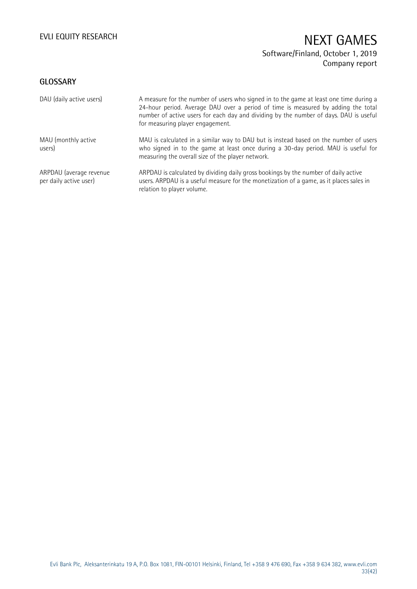## **GLOSSARY**

| DAU (daily active users)                          | A measure for the number of users who signed in to the game at least one time during a<br>24-hour period. Average DAU over a period of time is measured by adding the total<br>number of active users for each day and dividing by the number of days. DAU is useful<br>for measuring player engagement. |
|---------------------------------------------------|----------------------------------------------------------------------------------------------------------------------------------------------------------------------------------------------------------------------------------------------------------------------------------------------------------|
| MAU (monthly active<br>users)                     | MAU is calculated in a similar way to DAU but is instead based on the number of users<br>who signed in to the game at least once during a 30-day period. MAU is useful for<br>measuring the overall size of the player network.                                                                          |
| ARPDAU (average revenue<br>per daily active user) | ARPDAU is calculated by dividing daily gross bookings by the number of daily active<br>users. ARPDAU is a useful measure for the monetization of a game, as it places sales in<br>relation to player volume.                                                                                             |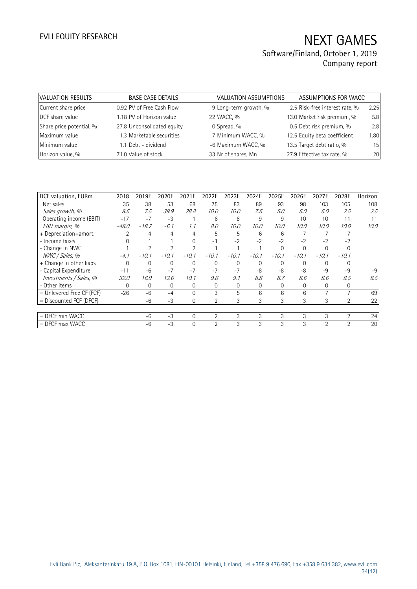| VALUATION RESULTS        | <b>BASE CASE DETAILS</b>   | VALUATION ASSUMPTIONS | ASSUMPTIONS FOR WACC           |      |
|--------------------------|----------------------------|-----------------------|--------------------------------|------|
| Current share price      | 0.92 PV of Free Cash Flow  | 9 Long-term growth, % | 2.5 Risk-free interest rate, % | 2.25 |
| DCF share value          | 1.18 PV of Horizon value   | 22 WACC, %            | 13.0 Market risk premium, %    | 5.8  |
| Share price potential, % | 27.8 Unconsolidated equity | 0 Spread, %           | 0.5 Debt risk premium, %       | 2.8  |
| Maximum value            | 1.3 Marketable securities  | 7 Minimum WACC, %     | 12.5 Equity beta coefficient   | 1.80 |
| Minimum value            | 1.1 Debt - dividend        | -6 Maximum WACC, %    | 13.5 Target debt ratio, %      | 15   |
| Horizon value, %         | 71.0 Value of stock        | 33 Nr of shares, Mn   | 27.9 Effective tax rate, %     | 20   |

| DCF valuation, EURm       | 2018        | 2019E        | 2020E        | 2021E        | 2022E          | 2023E        | 2024E    | 2025E    | 2026E       | 2027E          | 2028E          | Horizon |
|---------------------------|-------------|--------------|--------------|--------------|----------------|--------------|----------|----------|-------------|----------------|----------------|---------|
| Net sales                 | 35          | 38           | 53           | 68           | 75             | 83           | 89       | 93       | 98          | 103            | 105            | 108     |
| Sales growth, %           | 8.5         | 7.5          | 39.9         | 28.8         | 10.0           | 10.0         | 7.5      | 5.0      | 5.0         | 5.0            | 2.5            | 2.5     |
| Operating income (EBIT)   | $-17$       | $-7$         | $-3$         |              | 6              | 8            | 9        | 9        | 10          | 10             | 11             |         |
| EBIT margin, %            | $-48.0$     | $-18.7$      | $-6.1$       | 1.1          | 8.0            | 10.0         | 10.0     | 10.0     | 10.0        | 10.0           | 10.0           | 10.0    |
| + Depreciation+amort.     |             | 4            | 4            | 4            | 5              | 5            | 6        | 6        |             |                |                |         |
| - Income taxes            |             |              |              | $\Omega$     | $-1$           | $-2$         | $-2$     | $-2$     | $-2$        | $-2$           | $-2$           |         |
| - Change in NWC           |             |              |              |              |                |              |          | $\Omega$ | $\Omega$    |                |                |         |
| NWC / Sales, %            | $-4.1$      | $-10.1$      | $-10.1$      | $-10.1$      | $-10.1$        | $-10.1$      | $-10.1$  | $-10.1$  | $-10.1$     | $-10.1$        | $-10.1$        |         |
| + Change in other liabs   | $\Omega$    | $\Omega$     | $\mathbf{0}$ | 0            | $\Omega$       | $\Omega$     | $\Omega$ | $\Omega$ | $\Omega$    | $\Omega$       |                |         |
| - Capital Expenditure     | $-11$       | $-6$         | $-7$         | $-7$         | $-7$           | $-7$         | -8       | -8       | -8          | -9             | $-9$           | $-9$    |
| Investments / Sales, %    | <i>32.0</i> | 16.9         | 12.6         | 10.1         | 9.6            | 9.1          | 8.8      | 8.7      | 8.6         | 8.6            | 8.5            | 8.5     |
| - Other items             | $\Omega$    | $\mathbf{0}$ | $\mathbf{0}$ | $\mathbf{0}$ | 0              | $\mathbf{0}$ | 0        | $\Omega$ | $\mathbf 0$ | 0              | $\mathbf 0$    |         |
| = Unlevered Free CF (FCF) | $-26$       | -6           | $-4$         | $\Omega$     | 3              | 5            | 6        | 6        | 6           |                | $\overline{7}$ | 69      |
| $=$ Discounted FCF (DFCF) |             | $-6$         | $-3$         | $\Omega$     | 2              | 3            | 3        | 3        | 3           | 3              | $\overline{2}$ | 22      |
|                           |             |              |              |              |                |              |          |          |             |                |                |         |
| $=$ DFCF min WACC         |             | $-6$         | $-3$         | $\Omega$     | $\overline{2}$ | 3            | 3        | 3        | 3           | 3              | $\overline{2}$ | 24      |
| $=$ DFCF max WACC         |             | $-6$         | $-3$         | $\Omega$     | $\mathfrak{D}$ | 3            | 3        | 3        | 3           | $\mathfrak{D}$ | $\overline{2}$ | 20      |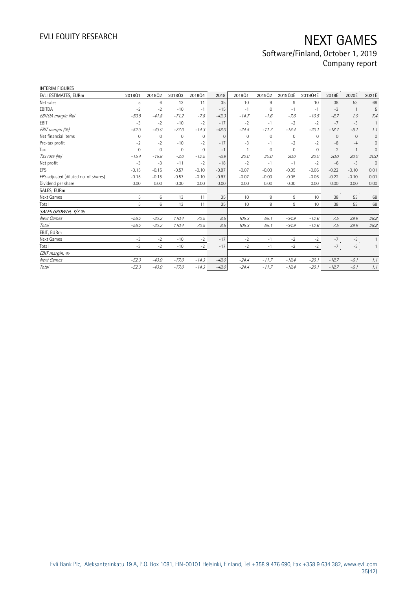| INTERIM FIGURES                      |             |              |                |              |              |             |          |         |                 |                |                |                     |
|--------------------------------------|-------------|--------------|----------------|--------------|--------------|-------------|----------|---------|-----------------|----------------|----------------|---------------------|
| EVLI ESTIMATES, EURm                 | 201801      | 201802       | 201803         | 201804       | 2018         | 201901      | 201902   | 2019Q3E | 2019Q4E         | 2019E          | 2020E          | 2021E               |
| Net sales                            | 5           | 6            | 13             | 11           | 35           | 10          | 9        | 9       | 10 <sup>°</sup> | 38             | 53             | 68                  |
| EBITDA                               | $-2$        | $-2$         | $-10$          | $-1$         | $-15$        | $-1$        | $\Omega$ | $-1$    | $-1$            | $-3$           | $\overline{1}$ | 5                   |
| EBITDA margin (%)                    | $-50.9$     | $-41.8$      | $-71.2$        | $-7.8$       | $-43.3$      | $-14.7$     | $-1.6$   | $-7.6$  | $-10.5$         | $-8.7$         | 1.0            | 7.4                 |
| EBIT                                 | $-3$        | $-2$         | $-10$          | $-2$         | $-17$        | $-2$        | $-1$     | $-2$    | $-2$            | $-7$           | $-3$           | $\mathbf{1}$        |
| EBIT margin (%)                      | $-52.3$     | $-43.0$      | $-77.0$        | $-14.3$      | $-48.0$      | $-24.4$     | $-11.7$  | $-18.4$ | $-20.1$         | $-18.7$        | $-6.1$         | 1.1                 |
| Net financial items                  | 0           | $\mathbf{0}$ | $\mathbf 0$    | $\mathbf{0}$ | $\mathbf{0}$ | $\mathbf 0$ | 0        | 0       | $\mathbf{0}$    | $\mathbf{0}$   | $\mathbf{0}$   | $\mathbf 0$         |
| Pre-tax profit                       | $-2$        | $-2$         | $-10$          | $-2$         | $-17$        | $-3$        | $-1$     | $-2$    | $-2$            | $-8$           | $-4$           | $\mathsf{O}\xspace$ |
| Tax                                  | $\mathbf 0$ | $\Omega$     | $\overline{0}$ | 0            | $-1$         |             | $\Omega$ | 0       | $\Omega$        | $\overline{2}$ | $\mathbf{1}$   | $\overline{0}$      |
| Tax rate (%)                         | $-15.4$     | $-15.8$      | $-2.0$         | $-12.5$      | $-6.9$       | 20.0        | 20.0     | 20.0    | 20.0            | 20.0           | 20.0           | 20.0                |
| Net profit                           | $-3$        | $-3$         | $-11$          | $-2$         | $-18$        | $-2$        | $-1$     | $-1$    | $-2$            | $-6$           | $-3$           | $\mathbf{0}$        |
| EPS                                  | $-0.15$     | $-0.15$      | $-0.57$        | $-0.10$      | $-0.97$      | $-0.07$     | $-0.03$  | $-0.05$ | $-0.06$         | $-0.22$        | $-0.10$        | 0.01                |
| EPS adjusted (diluted no. of shares) | $-0.15$     | $-0.15$      | $-0.57$        | $-0.10$      | $-0.97$      | $-0.07$     | $-0.03$  | $-0.05$ | $-0.06$         | $-0.22$        | $-0.10$        | 0.01                |
| Dividend per share                   | 0.00        | 0.00         | 0.00           | 0.00         | 0.00         | 0.00        | 0.00     | 0.00    | 0.00            | 0.00           | 0.00           | 0.00                |
| SALES, EURm                          |             |              |                |              |              |             |          |         |                 |                |                |                     |
| Next Games                           | 5           | 6            | 13             | 11           | 35           | 10          | 9        | 9       | 10 <sup>°</sup> | 38             | 53             | 68                  |
| Total                                | 5           | 6            | 13             | 11           | 35           | 10          | 9        | 9       | 10 <sup>°</sup> | 38             | 53             | 68                  |
| SALES GROWTH, Y/Y %                  |             |              |                |              |              |             |          |         |                 |                |                |                     |
| Next Games                           | $-56.2$     | $-33.2$      | 110.4          | 70.5         | 8.5          | 105.3       | 65.1     | $-34.9$ | $-12.6$         | 7.5            | 39.9           | 28.8                |
| Total                                | $-56.2$     | $-33.2$      | 110.4          | 70.5         | 8.5          | 105.3       | 65.1     | $-34.9$ | $-12.6$         | 7.5            | 39.9           | 28.8                |
| EBIT, EURm                           |             |              |                |              |              |             |          |         |                 |                |                |                     |
| Next Games                           | $-3$        | $-2$         | $-10$          | $-2$         | $-17$        | $-2$        | $-1$     | $-2$    | $-2$            | $-7$           | $-3$           | $\mathbf{1}$        |
| Total                                | $-3$        | $-2$         | $-10$          | $-2$         | $-17$        | $-2$        | $-1$     | $-2$    | $-2$            | $-7$           | $-3$           | $\mathbf{1}$        |
| EBIT margin, %                       |             |              |                |              |              |             |          |         |                 |                |                |                     |
| Next Games                           | $-52.3$     | $-43.0$      | $-77.0$        | $-14.3$      | $-48.0$      | $-24.4$     | $-11.7$  | $-18.4$ | $-20.1$         | $-18.7$        | $-6.1$         | 1.1                 |
| Total                                | $-52.3$     | $-43.0$      | $-77.0$        | $-14.3$      | $-48.0$      | $-24.4$     | $-11.7$  | $-18.4$ | $-20.1$         | $-18.7$        | $-6.1$         | 1.1                 |
|                                      |             |              |                |              |              |             |          |         |                 |                |                |                     |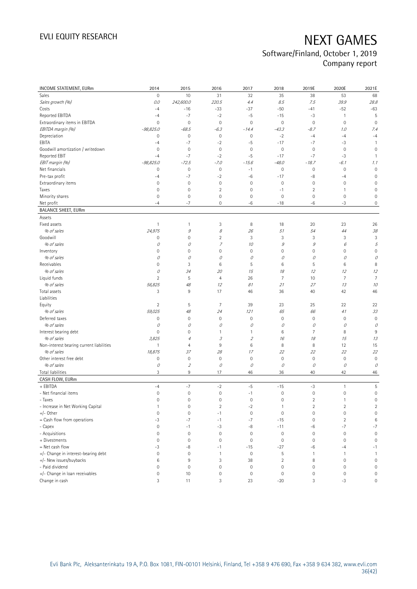| INCOME STATEMENT, EURm                   | 2014                | 2015                      | 2016                | 2017                        | 2018           | 2019E               | 2020E          | 2021E               |
|------------------------------------------|---------------------|---------------------------|---------------------|-----------------------------|----------------|---------------------|----------------|---------------------|
| Sales                                    | $\mathbb O$         | 10                        | 31                  | 32                          | 35             | 38                  | 53             | 68                  |
| Sales growth (%)                         | 0.0                 | 242,600.0                 | 220.5               | 4.4                         | 8.5            | 7.5                 | 39.9           | 28.8                |
| Costs                                    | $-4$                | $-16$                     | $-33$               | -37                         | $-50$          | $-41$               | $-52$          | $-63$               |
| Reported EBITDA                          | $-4$                | $-7$                      | $-2$                | $-5$                        | $-15$          | $-3$                | $\mathbf{1}$   | 5                   |
| Extraordinary items in EBITDA            | $\mathbf 0$         | $\mathbf 0$               | $\mathbf 0$         | 0                           | $\mathbf 0$    | $\mathbf 0$         | $\mathbf 0$    | $\overline{0}$      |
| EBITDA margin (%)                        | $-98,825.0$         | $-68.5$                   | $-6.3$              | $-14.4$                     | $-43.3$        | $-8.7$              | 1.0            | 7.4                 |
| Depreciation                             | $\circ$             | $\mathbf 0$               | $\mathsf{O}\xspace$ | 0                           | $-2$           | $-4$                | $-4$           | $-4$                |
| EBITA                                    | $-4$                | $-7$                      | $-2$                | $-5$                        | $-17$          | $-7$                | $-3$           | $\overline{1}$      |
| Goodwill amortization / writedown        | $\mathbf 0$         | $\mathbf 0$               | $\mathbf 0$         | 0                           | $\mathbf 0$    | $\mathbf 0$         | $\mathbf 0$    | $\mathbf 0$         |
| Reported EBIT                            | $-4$                | $-7$                      | $-2$                | $-5$                        | $-17$          | $-7$                | $-3$           | $\mathbf{1}$        |
| EBIT margin (%)                          | $-98,825.0$         | $-72.5$                   | $-7.0$              | $-15.6$                     | $-48.0$        | $-18.7$             | $-6.1$         | 1.1                 |
| Net financials                           | $\circ$             | $\mathbf 0$               | $\mathbf 0$         | $-1$                        | $\mathbb O$    | $\mathbf 0$         | $\mathbf 0$    | $\mathbf 0$         |
| Pre-tax profit                           | $-4$                | $-7$                      | $-2$                | $-6$                        | $-17$          | -8                  | $-4$           | $\overline{0}$      |
| Extraordinary items                      | $\mathbf 0$         | $\mathbf 0$               | $\mathbf 0$         | 0                           | $\mathbf 0$    | $\mathbf 0$         | $\mathbf 0$    | $\overline{0}$      |
| Taxes                                    | $\mathbf{0}$        | $\mathbf 0$               | $\overline{2}$      | 0                           | $-1$           | $\overline{2}$      | 1              | $\overline{0}$      |
| Minority shares                          | 0                   | $\mathbf 0$               | $\mathsf{O}\xspace$ | 0                           | 0              | $\mathbf 0$         | 0              | $\mathbf 0$         |
| Net profit                               | $-4$                | $-7$                      | $\mathsf{O}\xspace$ | $-6$                        | $-18$          | $-6$                | $-3$           | 0                   |
| <b>BALANCE SHEET, EURm</b>               |                     |                           |                     |                             |                |                     |                |                     |
| Assets                                   |                     |                           |                     |                             |                |                     |                |                     |
| Fixed assets                             | $\mathbf{1}$        | 1                         | 3                   | 8                           | 18             | 20                  | 23             | 26                  |
| % of sales                               | 24,975              | $\mathcal G$              | 8                   | 26                          | 51             | 54                  | 44             | 38                  |
| Goodwill                                 | $\mathsf{O}\xspace$ | $\mathbf 0$               | $\overline{2}$      | 3                           | 3              | 3                   | 3              | 3                   |
| % of sales                               | 0                   | 0                         | $\boldsymbol{7}$    | 10                          | 9              | 9                   | 6              | 5                   |
| Inventory                                | 0                   | $\mathbf 0$               | $\mathsf{O}\xspace$ | 0                           | $\mathbf 0$    | $\mathsf{O}\xspace$ | 0              | $\overline{0}$      |
| % of sales                               | 0                   | 0                         | 0                   | 0                           | 0              | 0                   | 0              | 0                   |
| Receivables                              | 0                   | $\ensuremath{\mathsf{3}}$ | 6                   | 5                           | 6              | 5                   | 6              | 8                   |
| % of sales                               | 0                   | 34                        | 20                  | 15                          | 18             | 12                  | 12             | 12                  |
| Liquid funds                             | $\overline{2}$      | $\mathsf S$               | $\overline{4}$      | 26                          | $\overline{7}$ | 10                  | $\overline{7}$ | $\overline{7}$      |
| % of sales                               | 56,825              | 48                        | 12                  | 81                          | 21             | 27                  | 13             | 10                  |
| Total assets                             | 3                   | $9\,$                     | 17                  | 46                          | 36             | 40                  | 42             | 46                  |
| Liabilities                              |                     |                           |                     |                             |                |                     |                |                     |
| Equity                                   | $\overline{2}$      | 5                         | $\overline{7}$      | 39                          | 23             | 25                  | 22             | 22                  |
| % of sales                               | 59,025              | 48                        | 24                  | 121                         | 65             | 66                  | 41             | 33                  |
| Deferred taxes                           | 0                   | $\mathbf 0$               | $\mathsf{O}\xspace$ | 0                           | $\mathbf 0$    | $\mathbf 0$         | $\mathbf 0$    | $\mathbf 0$         |
| % of sales                               | 0                   | 0                         | 0                   | 0                           | 0              | $\mathcal O$        | 0              | 0                   |
| Interest bearing debt                    | $\mathsf{O}\xspace$ | 0                         | 1                   | 1                           | 6              | $\overline{7}$      | 8              | 9                   |
| % of sales                               | 3,825               | $\overline{4}$            | 3                   | $\mathcal{L}_{\mathcal{L}}$ | 16             | 18                  | 15             | 13                  |
| Non-interest bearing current liabilities | $\mathbf{1}$        | $\overline{4}$            | 9                   | 6                           | 8              | 8                   | 12             | 15                  |
| % of sales                               | 18,875              | 37                        | 28                  | 17                          | 22             | 22                  | 22             | 22                  |
| Other interest free debt                 | $\circ$             | $\mathbf 0$               | $\mathbf 0$         | 0                           | $\mathbf 0$    | $\mathbf 0$         | $\mathbf 0$    | $\mathbf 0$         |
| % of sales                               | $\mathcal O$        | $\overline{2}$            | 0                   | 0                           | 0              | 0                   | 0              | 0                   |
| <b>Total liabilities</b>                 | 3                   | 9                         | 17                  | 46                          | 36             | 40                  | 42             | 46                  |
| CASH FLOW, EURm                          |                     |                           |                     |                             |                |                     |                |                     |
| + EBITDA                                 | $-4$                | $-7$                      | $-2$                | $-5$                        | $-15$          | $-3$                | 1              | 5                   |
| - Net financial items                    | $\mathsf{O}\xspace$ | $\mathbf 0$               | $\mathbf 0$         | $-1$                        | $\mathbf 0$    | $\mathbf 0$         | 0              | $\mathbf 0$         |
| - Taxes                                  | 0                   | 0                         | 0                   | 0                           | 0              | 2                   | 1              | 0                   |
| - Increase in Net Working Capital        | $\mathbf{1}$        | $\mathbf 0$               | $\sqrt{2}$          | $-2$                        | 1              | $\overline{2}$      | $\overline{c}$ | $\overline{2}$      |
| $+/-$ Other                              | $\mathsf{O}\xspace$ | $\mathbf 0$               | $-1$                | 0                           | $\mathbf 0$    | $\mathsf{O}\xspace$ | 0              | $\mathsf{O}\xspace$ |
| = Cash flow from operations              | -3                  | $-7$                      | $-1$                | $-7$                        | $-15$          | $\mathbf 0$         | $\overline{c}$ | $\,6$               |
| - Capex                                  | $\mathsf{O}\xspace$ | $-1$                      | $-3$                | -8                          | $-11$          | -6                  | $-7$           | $-7$                |
| - Acquisitions                           | $\mathsf{O}\xspace$ | $\mathbf 0$               | $\mathsf 0$         | $\mathbf 0$                 | $\mathbf 0$    | $\mathbf 0$         | $\mathbf 0$    | $\mathbf 0$         |
| + Divestments                            | $\mathsf{O}\xspace$ | $\mathbf 0$               | $\mathsf 0$         | $\mathbf 0$                 | $\mathbf 0$    | $\mathbf 0$         | 0              | $\mathbf 0$         |
| = Net cash flow                          | -3                  | -8                        | $-1$                | $-15$                       | $-27$          | -6                  | $-4$           | $-1$                |
| +/- Change in interest-bearing debt      | $\mathsf{O}\xspace$ | $\mathbf 0$               | 1                   | $\mathbf 0$                 | 5              | $\mathbf{1}$        | 1              | $\mathbf{1}$        |
| +/- New issues/buybacks                  | 6                   | $\,9$                     | 3                   | 38                          | $\sqrt{2}$     | 8                   | 0              | $\mathsf{O}\xspace$ |
| - Paid dividend                          | 0                   | $\mathbf 0$               | 0                   | 0                           | $\mathbf 0$    | $\mathsf{O}\xspace$ | 0              | $\mathsf 0$         |
| +/- Change in loan receivables           | $\circ$             | 10                        | $\mathsf{O}\xspace$ | $\mathsf{O}\xspace$         | $\mathbf 0$    | $\mathbb O$         | $\mathbb O$    | $\mathsf 0$         |
| Change in cash                           | 3                   | 11                        | 3                   | 23                          | $-20$          | 3                   | $-3$           | $\mathsf{O}\xspace$ |
|                                          |                     |                           |                     |                             |                |                     |                |                     |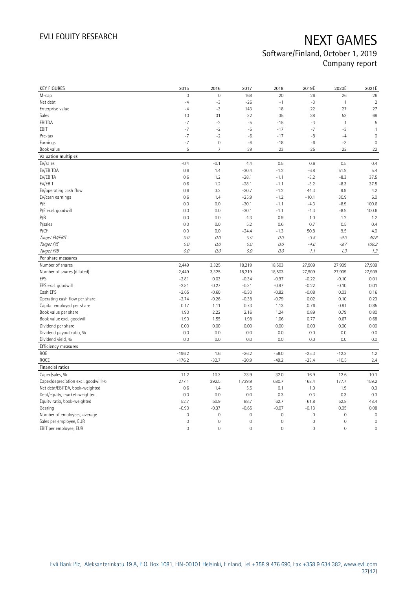| <b>KEY FIGURES</b>                  | 2015           | 2016           | 2017        | 2018        | 2019E       | 2020E               | 2021E          |
|-------------------------------------|----------------|----------------|-------------|-------------|-------------|---------------------|----------------|
| M-cap                               | $\overline{0}$ | $\mathbf 0$    | 168         | 20          | 26          | 26                  | 26             |
| Net debt                            | $-4$           | $-3$           | $-26$       | $-1$        | $-3$        | $\mathbf{1}$        | $\overline{2}$ |
| Enterprise value                    | $-4$           | $-3$           | 143         | 18          | 22          | 27                  | 27             |
| Sales                               | 10             | 31             | 32          | 35          | 38          | 53                  | 68             |
| EBITDA                              | $-7$           | $-2$           | $-5$        | $-15$       | $-3$        | $\mathbf{1}$        | 5              |
| EBIT                                | $-7$           | $-2$           | $-5$        | $-17$       | $-7$        | $-3$                | $\mathbf{1}$   |
| Pre-tax                             | $-7$           | $-2$           | $^{\rm -6}$ | $-17$       | -8          | $-4$                | $\mathbf 0$    |
| Earnings                            | $-7$           | $\mathbf 0$    | $-6$        | $-18$       | -6          | $-3$                | $\mathbf 0$    |
| Book value                          | 5              | $\overline{7}$ | 39          | 23          | 25          | 22                  | 22             |
| Valuation multiples                 |                |                |             |             |             |                     |                |
| EV/sales                            | $-0.4$         | $-0.1$         | 4.4         | 0.5         | 0.6         | 0.5                 | 0.4            |
| EV/EBITDA                           | 0.6            | 1.4            | $-30.4$     | $-1.2$      | $-6.8$      | 51.9                | 5.4            |
| EV/EBITA                            | 0.6            | 1.2            | $-28.1$     | $-1.1$      | $-3.2$      | $-8.3$              | 37.5           |
| EV/EBIT                             | 0.6            | 1.2            | $-28.1$     | $-1.1$      | $-3.2$      | $-8.3$              | 37.5           |
| EV/operating cash flow              | 0.6            | 3.2            | $-20.7$     | $-1.2$      | 44.3        | 9.9                 | 4.2            |
| EV/cash earnings                    | 0.6            | 1.4            | $-25.9$     | $-1.2$      | $-10.1$     | 30.9                | 6.0            |
| P/E                                 | 0.0            | 0.0            | $-30.1$     | $-1.1$      | $-4.3$      | $-8.9$              | 100.6          |
| P/E excl. goodwill                  | 0.0            | 0.0            | $-30.1$     | $-1.1$      | $-4.3$      | $-8.9$              | 100.6          |
| P/B                                 | 0.0            | 0.0            | 4.3         | 0.9         | 1.0         | 1.2                 | 1.2            |
| P/sales                             | 0.0            | 0.0            | 5.2         | 0.6         | 0.7         | 0.5                 | 0.4            |
| P/CF                                | 0.0            | 0.0            | $-24.4$     | $-1.3$      | 50.8        | 9.5                 | 4.0            |
| Target EV/EBIT                      | 0.0            | 0.0            | 0.0         | 0.0         | $-3.5$      | $-9.0$              | 40.6           |
| Target P/E                          | $O.O$          | 0.0            | 0.0         | O.O         | $-4.6$      | $-9.7$              | 109.3          |
| Target P/B                          | $O.O$          | 0.0            | 0.0         | O.O         | 1.1         | 1.3                 | 1.3            |
| Per share measures                  |                |                |             |             |             |                     |                |
| Number of shares                    | 2,449          | 3,325          | 18,219      | 18,503      | 27,909      | 27,909              | 27,909         |
| Number of shares (diluted)          | 2,449          | 3,325          | 18,219      | 18,503      | 27,909      | 27,909              | 27,909         |
| EPS                                 | $-2.81$        | 0.03           | $-0.34$     | $-0.97$     | $-0.22$     | $-0.10$             | 0.01           |
| EPS excl. goodwill                  | $-2.81$        | $-0.27$        | $-0.31$     | $-0.97$     | $-0.22$     | $-0.10$             | 0.01           |
| Cash EPS                            | $-2.65$        | $-0.60$        | $-0.30$     | $-0.82$     | $-0.08$     | 0.03                | 0.16           |
| Operating cash flow per share       | $-2.74$        | $-0.26$        | $-0.38$     | $-0.79$     | 0.02        | 0.10                | 0.23           |
| Capital employed per share          | 0.17           | 1.11           | 0.73        | 1.13        | 0.76        | 0.81                | 0.85           |
| Book value per share                | 1.90           | 2.22           | 2.16        | 1.24        | 0.89        | 0.79                | 0.80           |
| Book value excl. goodwill           | 1.90           | 1.55           | 1.98        | 1.06        | 0.77        | 0.67                | 0.68           |
| Dividend per share                  | 0.00           | 0.00           | 0.00        | 0.00        | 0.00        | 0.00                | 0.00           |
| Dividend payout ratio, %            | 0.0            | 0.0            | 0.0         | 0.0         | 0.0         | 0.0                 | 0.0            |
| Dividend yield, %                   | 0.0            | 0.0            | 0.0         | 0.0         | 0.0         | 0.0                 | 0.0            |
| Efficiency measures                 |                |                |             |             |             |                     |                |
| ROE                                 | $-196.2$       | 1.6            | $-26.2$     | $-58.0$     | $-25.3$     | $-12.3$             | 1.2            |
| <b>ROCE</b>                         | $-176.2$       | $-32.7$        | $-20.9$     | $-49.2$     | $-23.4$     | $-10.5$             | 2.4            |
| Financial ratios                    |                |                |             |             |             |                     |                |
| Capex/sales, %                      | 11.2           | 10.3           | 23.9        | 32.0        | 16.9        | 12.6                | 10.1           |
| Capex/depreciation excl. goodwill,% | 277.1          | 392.5          | 1,739.9     | 680.7       | 168.4       | 177.7               | 159.2          |
| Net debt/EBITDA, book-weighted      | 0.6            | 1.4            | 5.5         | 0.1         | 1.0         | 1.9                 | 0.3            |
| Debt/equity, market-weighted        | 0.0            | 0.0            | 0.0         | 0.3         | 0.3         | 0.3                 | 0.3            |
| Equity ratio, book-weighted         | 52.7           | 50.9           | 88.7        | 62.7        | 61.8        | 52.8                | 48.4           |
| Gearing                             | $-0.90$        | $-0.37$        | $-0.65$     | $-0.07$     | $-0.13$     | 0.05                | 0.08           |
| Number of employees, average        | $\mathbf 0$    | $\mathbf 0$    | $\mathbf 0$ | $\mathbf 0$ | $\mathbb O$ | $\mathbf 0$         | $\mathbf 0$    |
| Sales per employee, EUR             | 0              | $\mathbf 0$    | $\mathbf 0$ | 0           | $\mathbb O$ | $\mathsf{O}\xspace$ | $\mathbf 0$    |
| EBIT per employee, EUR              | 0              | $\mathbf 0$    | $\mathbf 0$ | 0           | $\mathbb O$ | $\mathsf{O}\xspace$ | $\mathbf 0$    |
|                                     |                |                |             |             |             |                     |                |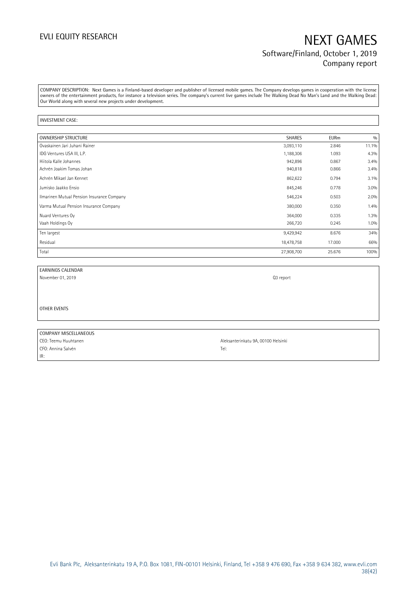COMPANY DESCRIPTION: Next Games is a Finland-based developer and publisher of licensed mobile games. The Company develops games in cooperation with the license owners of the entertainment products, for instance a television series. The company's current live games include The Walking Dead No Man's Land and the Walking Dead: Our World along with several new projects under development.

### INVESTMENT CASE:

| OWNERSHIP STRUCTURE                        | <b>SHARES</b> | <b>EURm</b> | 0/0   |
|--------------------------------------------|---------------|-------------|-------|
| Ovaskainen Jari Juhani Rainer              | 3,093,110     | 2.846       | 11.1% |
| IDG Ventures USA III, L.P.                 | 1,188,306     | 1.093       | 4.3%  |
| Hiitola Kalle Johannes                     | 942,896       | 0.867       | 3.4%  |
| Achrén Joakim Tomas Johan                  | 940,818       | 0.866       | 3.4%  |
| Achrén Mikael Jan Kennet                   | 862,622       | 0.794       | 3.1%  |
| Jumisko Jaakko Ensio                       | 845,246       | 0.778       | 3.0%  |
| Ilmarinen Mutual Pension Insurance Company | 546,224       | 0.503       | 2.0%  |
| Varma Mutual Pension Insurance Company     | 380,000       | 0.350       | 1.4%  |
| Nuard Ventures Oy                          | 364,000       | 0.335       | 1.3%  |
| Vaah Holdings Oy                           | 266,720       | 0.245       | 1.0%  |
| Ten largest                                | 9,429,942     | 8.676       | 34%   |
| Residual                                   | 18,478,758    | 17.000      | 66%   |
| Total                                      | 27,908,700    | 25.676      | 100%  |

### EARNINGS CALENDAR

November 01, 2019 Q3 report

OTHER EVENTS

### COMPANY MISCELLANEOUS CEO: Teemu Huuhtanen Aleksanterinkatu 9A, 00100 Helsinki

CFO: Annina Salvén Tel: IR: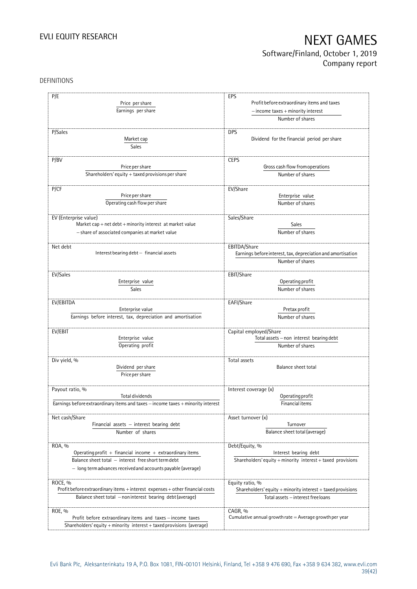## EVLI EQUITY RESEARCH NEXT GAMES Software/Finland, October 1, 2019

## Company report

### DEFINITIONS

| P/E                                                                              | EPS                                                                  |
|----------------------------------------------------------------------------------|----------------------------------------------------------------------|
|                                                                                  |                                                                      |
| Price per share                                                                  | Profit before extraordinary items and taxes                          |
| Earnings per share                                                               | $-$ income taxes $+$ minority interest                               |
|                                                                                  | Number of shares                                                     |
|                                                                                  |                                                                      |
| P/Sales                                                                          | <b>DPS</b>                                                           |
| Market cap                                                                       | Dividend for the financial period per share                          |
| Sales                                                                            |                                                                      |
| P/BV                                                                             | <b>CEPS</b>                                                          |
| Price per share                                                                  | Gross cash flow from operations                                      |
| Shareholders' equity + taxed provisions per share                                | Number of shares                                                     |
|                                                                                  |                                                                      |
| P/CF                                                                             | EV/Share                                                             |
| Price per share                                                                  | Enterprise value                                                     |
| Operating cash flow per share                                                    | Number of shares                                                     |
|                                                                                  |                                                                      |
| EV (Enterprise value)                                                            | Sales/Share                                                          |
| Market cap + net debt + minority interest at market value                        | Sales                                                                |
| - share of associated companies at market value                                  | Number of shares                                                     |
|                                                                                  |                                                                      |
| Net debt                                                                         | EBITDA/Share                                                         |
| Interest bearing debt - financial assets                                         | Earnings before interest, tax, depreciation and amortisation         |
|                                                                                  | Number of shares                                                     |
|                                                                                  |                                                                      |
| EV/Sales                                                                         | EBIT/Share                                                           |
| Enterprise value                                                                 | Operating profit                                                     |
| <b>Sales</b>                                                                     | Number of shares                                                     |
| EV/EBITDA                                                                        | EAFI/Share                                                           |
| Enterprise value                                                                 | Pretax profit                                                        |
| Earnings before interest, tax, depreciation and amortisation                     | Number of shares                                                     |
|                                                                                  |                                                                      |
| EV/EBIT                                                                          | Capital employed/Share                                               |
| Enterprise value                                                                 | Total assets - non interest bearing debt                             |
| Operating profit                                                                 | Number of shares                                                     |
|                                                                                  |                                                                      |
| Div yield, %                                                                     | Total assets                                                         |
| Dividend per share                                                               | <b>Balance sheet total</b>                                           |
| Price per share                                                                  |                                                                      |
|                                                                                  |                                                                      |
| Payout ratio, %<br>Total dividends                                               | Interest coverage (x)<br>Operating profit                            |
| Earnings before extraordinary items and taxes - income taxes + minority interest | Financial items                                                      |
|                                                                                  |                                                                      |
| Net cash/Share                                                                   | Asset turnover (x)                                                   |
| Financial assets - interest bearing debt                                         | Turnover                                                             |
| Number of shares                                                                 | Balance sheet total (average)                                        |
|                                                                                  |                                                                      |
| ROA, %                                                                           | Debt/Equity, %                                                       |
| Operating profit $+$ financial income $+$ extraordinary items                    | Interest bearing debt                                                |
| Balance sheet total - interest free short term debt                              | Shareholders' equity + minority interest + taxed provisions          |
| - long term advances received and accounts payable (average)                     |                                                                      |
|                                                                                  |                                                                      |
| ROCE, %                                                                          | Equity ratio, %                                                      |
| Profit before extraordinary items + interest expenses + other financial costs    | Shareholders' equity + minority interest + taxed provisions          |
| Balance sheet total - non interest bearing debt (average)                        | Total assets - interest free loans                                   |
|                                                                                  |                                                                      |
| ROE, %<br>Profit before extraordinary items and taxes - income taxes             | CAGR, %<br>Cumulative annual growth rate $=$ Average growth per year |
| Shareholders' equity + minority interest + taxed provisions (average)            |                                                                      |
|                                                                                  |                                                                      |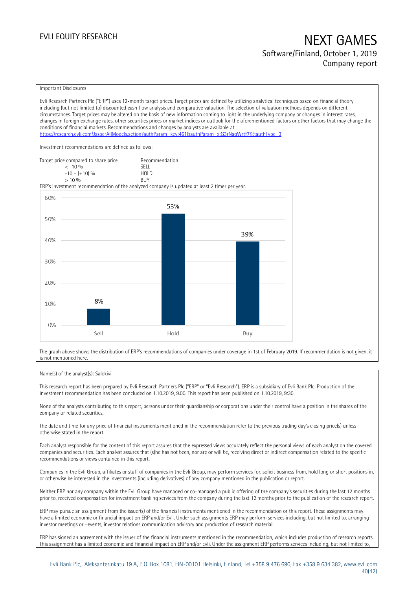### Important Disclosures

Evli Research Partners Plc ("ERP") uses 12-month target prices. Target prices are defined by utilizing analytical techniques based on financial theory including (but not limited to) discounted cash flow analysis and comparative valuation. The selection of valuation methods depends on different circumstances. Target prices may be altered on the basis of new information coming to light in the underlying company or changes in interest rates, changes in foreign exchange rates, other securities prices or market indices or outlook for the aforementioned factors or other factors that may change the conditions of financial markets. Recommendations and changes by analysts are available at <https://research.evli.com/JasperAllModels.action?authParam=key;461&authParam=x;G3rNagWrtf7K&authType=3> Investment recommendations are defined as follows: Target price compared to share price Recommendation<br>  $\leq -10\%$  $\langle 5, 10, 10 \rangle$  SELL<br> $\langle -10, 10, 10 \rangle$  SELL  $-10 - (+10) \%$  HOL<br>  $> 10 \%$  RIJY  $> 10\%$ ERP's investment recommendation of the analyzed company is updated at least 2 timer per year. 60% 53% 50% 39% 40% 30% 20% 8% 10%  $0%$ Sell Hold Buy

The graph above shows the distribution of ERP's recommendations of companies under coverage in 1st of February 2019. If recommendation is not given, it is not mentioned here.

### Name(s) of the analyst(s): Salokivi

This research report has been prepared by Evli Research Partners Plc ("ERP" or "Evli Research"). ERP is a subsidiary of Evli Bank Plc. Production of the investment recommendation has been concluded on 1.10.2019, 9.00. This report has been published on 1.10.2019, 9:30.

None of the analysts contributing to this report, persons under their guardianship or corporations under their control have a position in the shares of the company or related securities.

The date and time for any price of financial instruments mentioned in the recommendation refer to the previous trading day's closing price(s) unless otherwise stated in the report.

Each analyst responsible for the content of this report assures that the expressed views accurately reflect the personal views of each analyst on the covered companies and securities. Each analyst assures that (s)he has not been, nor are or will be, receiving direct or indirect compensation related to the specific recommendations or views contained in this report.

Companies in the Evli Group, affiliates or staff of companies in the Evli Group, may perform services for, solicit business from, hold long or short positions in, or otherwise be interested in the investments (including derivatives) of any company mentioned in the publication or report.

Neither ERP nor any company within the Evli Group have managed or co-managed a public offering of the company's securities during the last 12 months prior to, received compensation for investment banking services from the company during the last 12 months prior to the publication of the research report.

ERP may pursue an assignment from the issuer(s) of the financial instruments mentioned in the recommendation or this report. These assignments may have a limited economic or financial impact on ERP and/or Evli. Under such assignments ERP may perform services including, but not limited to, arranging investor meetings or –events, investor relations communication advisory and production of research material.

ERP has signed an agreement with the issuer of the financial instruments mentioned in the recommendation, which includes production of research reports. This assignment has a limited economic and financial impact on ERP and/or Evli. Under the assignment ERP performs services including, but not limited to,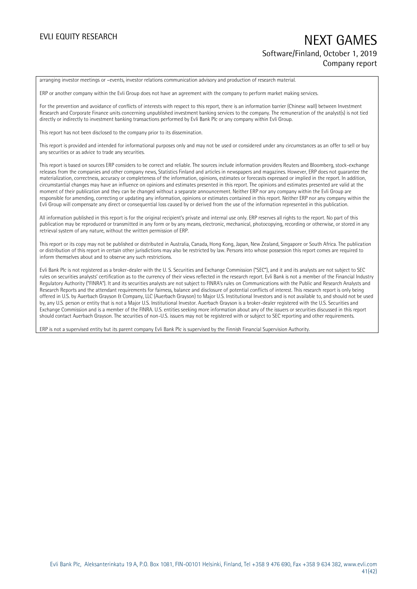arranging investor meetings or –events, investor relations communication advisory and production of research material.

ERP or another company within the Evli Group does not have an agreement with the company to perform market making services.

For the prevention and avoidance of conflicts of interests with respect to this report, there is an information barrier (Chinese wall) between Investment Research and Corporate Finance units concerning unpublished investment banking services to the company. The remuneration of the analyst(s) is not tied directly or indirectly to investment banking transactions performed by Evli Bank Plc or any company within Evli Group.

This report has not been disclosed to the company prior to its dissemination.

This report is provided and intended for informational purposes only and may not be used or considered under any circumstances as an offer to sell or buy any securities or as advice to trade any securities.

This report is based on sources ERP considers to be correct and reliable. The sources include information providers Reuters and Bloomberg, stock-exchange releases from the companies and other company news, Statistics Finland and articles in newspapers and magazines. However, ERP does not guarantee the materialization, correctness, accuracy or completeness of the information, opinions, estimates or forecasts expressed or implied in the report. In addition, circumstantial changes may have an influence on opinions and estimates presented in this report. The opinions and estimates presented are valid at the moment of their publication and they can be changed without a separate announcement. Neither ERP nor any company within the Evli Group are responsible for amending, correcting or updating any information, opinions or estimates contained in this report. Neither ERP nor any company within the Evli Group will compensate any direct or consequential loss caused by or derived from the use of the information represented in this publication.

All information published in this report is for the original recipient's private and internal use only. ERP reserves all rights to the report. No part of this publication may be reproduced or transmitted in any form or by any means, electronic, mechanical, photocopying, recording or otherwise, or stored in any retrieval system of any nature, without the written permission of ERP.

This report or its copy may not be published or distributed in Australia, Canada, Hong Kong, Japan, New Zealand, Singapore or South Africa. The publication or distribution of this report in certain other jurisdictions may also be restricted by law. Persons into whose possession this report comes are required to inform themselves about and to observe any such restrictions.

Evli Bank Plc is not registered as a broker-dealer with the U. S. Securities and Exchange Commission ("SEC"), and it and its analysts are not subject to SEC rules on securities analysts' certification as to the currency of their views reflected in the research report. Evli Bank is not a member of the Financial Industry Regulatory Authority ("FINRA"). It and its securities analysts are not subject to FINRA's rules on Communications with the Public and Research Analysts and Research Reports and the attendant requirements for fairness, balance and disclosure of potential conflicts of interest. This research report is only being offered in U.S. by Auerbach Grayson & Company, LLC (Auerbach Grayson) to Major U.S. Institutional Investors and is not available to, and should not be used by, any U.S. person or entity that is not a Major U.S. Institutional Investor. Auerbach Grayson is a broker-dealer registered with the U.S. Securities and Exchange Commission and is a member of the FINRA. U.S. entities seeking more information about any of the issuers or securities discussed in this report should contact Auerbach Grayson. The securities of non-U.S. issuers may not be registered with or subject to SEC reporting and other requirements.

ERP is not a supervised entity but its parent company Evli Bank Plc is supervised by the Finnish Financial Supervision Authority.